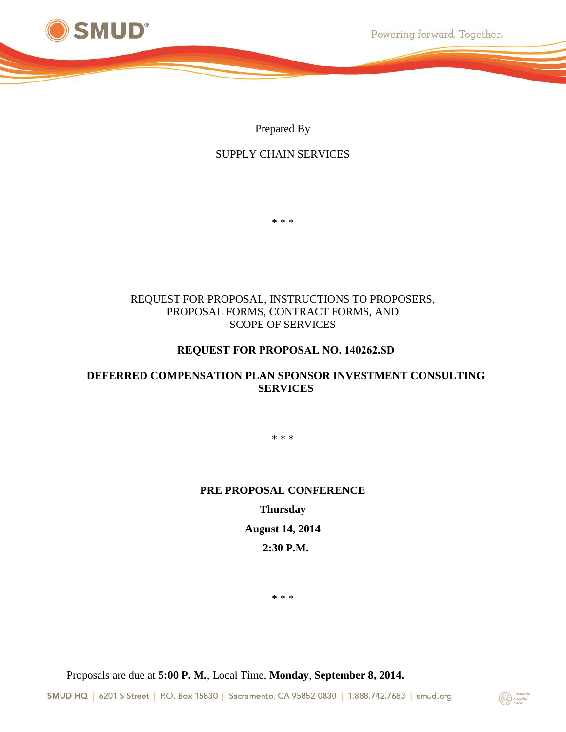

Powering forward. Together.

Prepared By

## SUPPLY CHAIN SERVICES

\* \* \*

### REQUEST FOR PROPOSAL, INSTRUCTIONS TO PROPOSERS, PROPOSAL FORMS, CONTRACT FORMS, AND SCOPE OF SERVICES

### **REQUEST FOR PROPOSAL NO. 140262.SD**

## <span id="page-0-7"></span><span id="page-0-1"></span>**DEFERRED COMPENSATION PLAN SPONSOR INVESTMENT CONSULTING SERVICES**

<span id="page-0-0"></span>\* \* \*

#### <span id="page-0-8"></span>**PRE PROPOSAL CONFERENCE**

## **Thursday**

### **August 14, 2014**

### **2:30 P.M.**

<span id="page-0-5"></span><span id="page-0-4"></span><span id="page-0-3"></span>\* \* \*

<span id="page-0-2"></span>Proposals are due at **5:00 P. M.**, Local Time, **Monday**, **September 8, 2014.**

<span id="page-0-6"></span>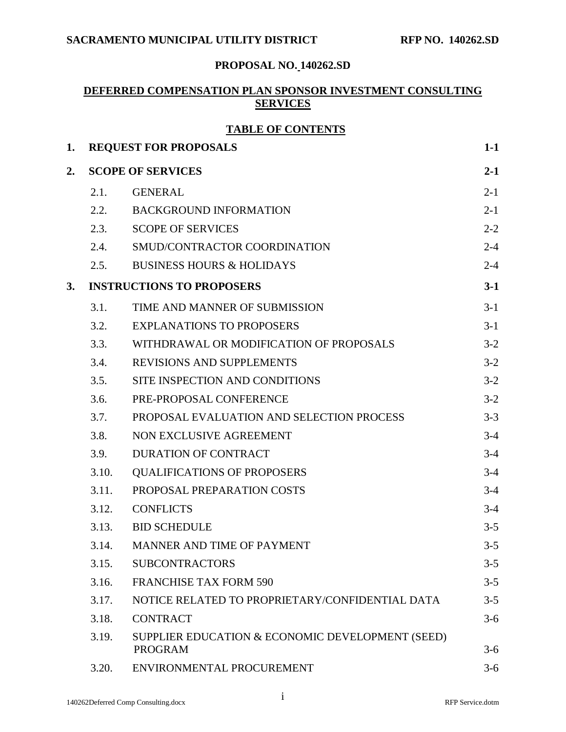# **PROPOSAL NO. [140262.SD](#page-0-0)**

## **DEFERRED COMPENSATION PLAN SPONSOR INVESTMENT CONSULTING SERVICES**

## **TABLE OF CONTENTS**

| 1. |       | <b>REQUEST FOR PROPOSALS</b>                                       | $1-1$   |
|----|-------|--------------------------------------------------------------------|---------|
| 2. |       | <b>SCOPE OF SERVICES</b>                                           | $2 - 1$ |
|    | 2.1.  | <b>GENERAL</b>                                                     | $2 - 1$ |
|    | 2.2.  | <b>BACKGROUND INFORMATION</b>                                      | $2 - 1$ |
|    | 2.3.  | <b>SCOPE OF SERVICES</b>                                           | $2 - 2$ |
|    | 2.4.  | SMUD/CONTRACTOR COORDINATION                                       | $2 - 4$ |
|    | 2.5.  | <b>BUSINESS HOURS &amp; HOLIDAYS</b>                               | $2 - 4$ |
| 3. |       | <b>INSTRUCTIONS TO PROPOSERS</b>                                   | $3-1$   |
|    | 3.1.  | TIME AND MANNER OF SUBMISSION                                      | $3-1$   |
|    | 3.2.  | <b>EXPLANATIONS TO PROPOSERS</b>                                   | $3-1$   |
|    | 3.3.  | WITHDRAWAL OR MODIFICATION OF PROPOSALS                            | $3-2$   |
|    | 3.4.  | <b>REVISIONS AND SUPPLEMENTS</b>                                   | $3-2$   |
|    | 3.5.  | SITE INSPECTION AND CONDITIONS                                     | $3-2$   |
|    | 3.6.  | PRE-PROPOSAL CONFERENCE                                            | $3-2$   |
|    | 3.7.  | PROPOSAL EVALUATION AND SELECTION PROCESS                          | $3 - 3$ |
|    | 3.8.  | NON EXCLUSIVE AGREEMENT                                            | $3-4$   |
|    | 3.9.  | <b>DURATION OF CONTRACT</b>                                        | $3-4$   |
|    | 3.10. | <b>QUALIFICATIONS OF PROPOSERS</b>                                 | $3-4$   |
|    | 3.11. | PROPOSAL PREPARATION COSTS                                         | $3-4$   |
|    | 3.12. | <b>CONFLICTS</b>                                                   | $3-4$   |
|    | 3.13. | <b>BID SCHEDULE</b>                                                | $3 - 5$ |
|    | 3.14. | MANNER AND TIME OF PAYMENT                                         | $3 - 5$ |
|    | 3.15. | <b>SUBCONTRACTORS</b>                                              | $3 - 5$ |
|    | 3.16. | <b>FRANCHISE TAX FORM 590</b>                                      | $3 - 5$ |
|    | 3.17. | NOTICE RELATED TO PROPRIETARY/CONFIDENTIAL DATA                    | $3 - 5$ |
|    | 3.18. | <b>CONTRACT</b>                                                    | $3-6$   |
|    | 3.19. | SUPPLIER EDUCATION & ECONOMIC DEVELOPMENT (SEED)<br><b>PROGRAM</b> | $3-6$   |
|    | 3.20. | ENVIRONMENTAL PROCUREMENT                                          | $3-6$   |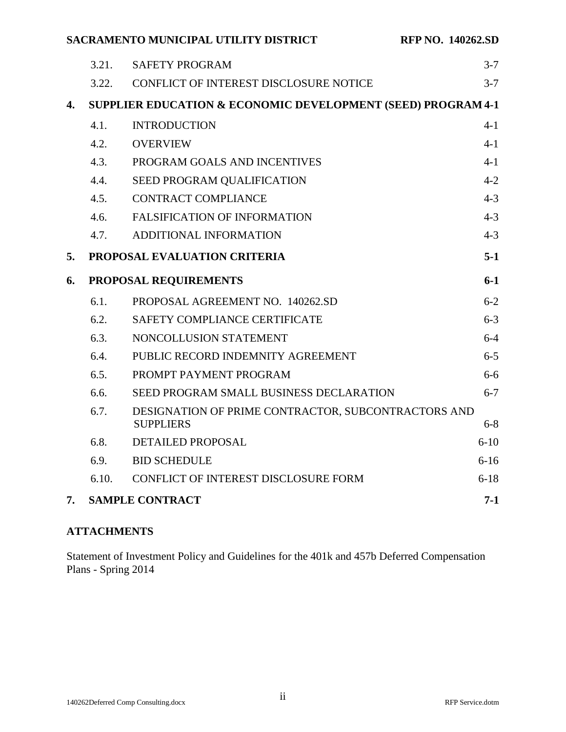**RFP NO. 140262.SD** 

|  |  | SACRAMENTO MUNICIPAL UTILITY DISTRICT |
|--|--|---------------------------------------|
|--|--|---------------------------------------|

|    | 6.9.<br>6.10. | <b>BID SCHEDULE</b>                                                     | $6-16$<br>$6 - 18$ |
|----|---------------|-------------------------------------------------------------------------|--------------------|
|    | 6.8.          | DETAILED PROPOSAL                                                       | $6-10$             |
|    | 6.7.          | DESIGNATION OF PRIME CONTRACTOR, SUBCONTRACTORS AND<br><b>SUPPLIERS</b> | $6 - 8$            |
|    | 6.6.          | SEED PROGRAM SMALL BUSINESS DECLARATION                                 | $6 - 7$            |
|    | 6.5.          | PROMPT PAYMENT PROGRAM                                                  | $6-6$              |
|    | 6.4.          | PUBLIC RECORD INDEMNITY AGREEMENT                                       | $6 - 5$            |
|    | 6.3.          | NONCOLLUSION STATEMENT                                                  | $6 - 4$            |
|    | 6.2.          | SAFETY COMPLIANCE CERTIFICATE                                           | $6 - 3$            |
|    | 6.1.          | PROPOSAL AGREEMENT NO. 140262.SD                                        | $6 - 2$            |
| 6. |               | PROPOSAL REQUIREMENTS                                                   | $6 - 1$            |
| 5. |               | PROPOSAL EVALUATION CRITERIA                                            | $5-1$              |
|    | 4.7.          | ADDITIONAL INFORMATION                                                  | $4 - 3$            |
|    | 4.6.          | FALSIFICATION OF INFORMATION                                            | $4 - 3$            |
|    | 4.5.          | <b>CONTRACT COMPLIANCE</b>                                              | $4 - 3$            |
|    | 4.4.          | SEED PROGRAM QUALIFICATION                                              | $4 - 2$            |
|    | 4.3.          | PROGRAM GOALS AND INCENTIVES                                            | $4 - 1$            |
|    | 4.2.          | <b>OVERVIEW</b>                                                         | $4 - 1$            |
|    | 4.1.          | <b>INTRODUCTION</b>                                                     | $4 - 1$            |
| 4. |               | <b>SUPPLIER EDUCATION &amp; ECONOMIC DEVELOPMENT (SEED) PROGRAM 4-1</b> |                    |
|    | 3.22.         | CONFLICT OF INTEREST DISCLOSURE NOTICE                                  | $3 - 7$            |
|    | 3.21.         | <b>SAFETY PROGRAM</b>                                                   | $3 - 7$            |

# **ATTACHMENTS**

Statement of Investment Policy and Guidelines for the 401k and 457b Deferred Compensation Plans - Spring 2014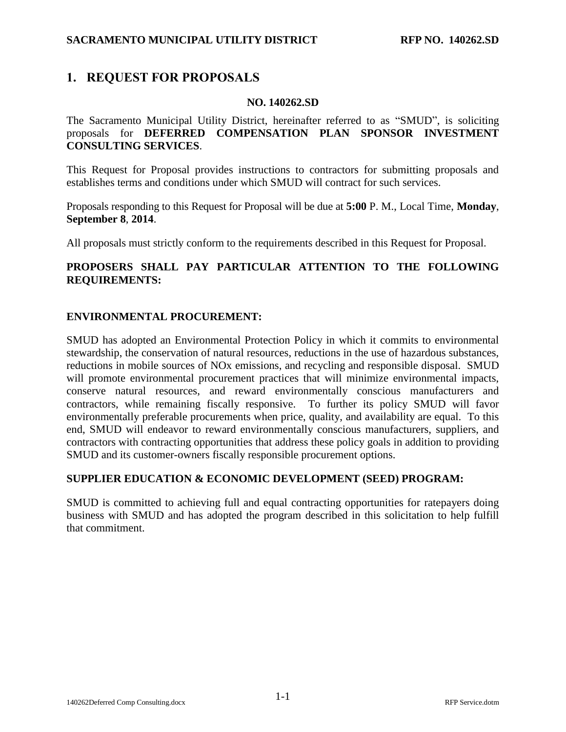## <span id="page-3-0"></span>**1. REQUEST FOR PROPOSALS**

#### **NO. [140262.SD](#page-0-0)**

The Sacramento Municipal Utility District, hereinafter referred to as "SMUD", is soliciting proposals for **[DEFERRED COMPENSATION PLAN SPONSOR INVESTMENT](#page-0-1) [CONSULTING SERVICES](#page-0-1)**.

This Request for Proposal provides instructions to contractors for submitting proposals and establishes terms and conditions under which SMUD will contract for such services.

Proposals responding to this Request for Proposal will be due at **5:00** [P. M.,](#page-0-2) Local Time, **[Monday](#page-0-3)**, **[September](#page-0-4) [8](#page-0-5)**, **[2014](#page-0-6)**.

All proposals must strictly conform to the requirements described in this Request for Proposal.

### **PROPOSERS SHALL PAY PARTICULAR ATTENTION TO THE FOLLOWING REQUIREMENTS:**

#### **ENVIRONMENTAL PROCUREMENT:**

SMUD has adopted an Environmental Protection Policy in which it commits to environmental stewardship, the conservation of natural resources, reductions in the use of hazardous substances, reductions in mobile sources of NOx emissions, and recycling and responsible disposal. SMUD will promote environmental procurement practices that will minimize environmental impacts, conserve natural resources, and reward environmentally conscious manufacturers and contractors, while remaining fiscally responsive. To further its policy SMUD will favor environmentally preferable procurements when price, quality, and availability are equal. To this end, SMUD will endeavor to reward environmentally conscious manufacturers, suppliers, and contractors with contracting opportunities that address these policy goals in addition to providing SMUD and its customer-owners fiscally responsible procurement options.

#### **SUPPLIER EDUCATION & ECONOMIC DEVELOPMENT (SEED) PROGRAM:**

SMUD is committed to achieving full and equal contracting opportunities for ratepayers doing business with SMUD and has adopted the program described in this solicitation to help fulfill that commitment.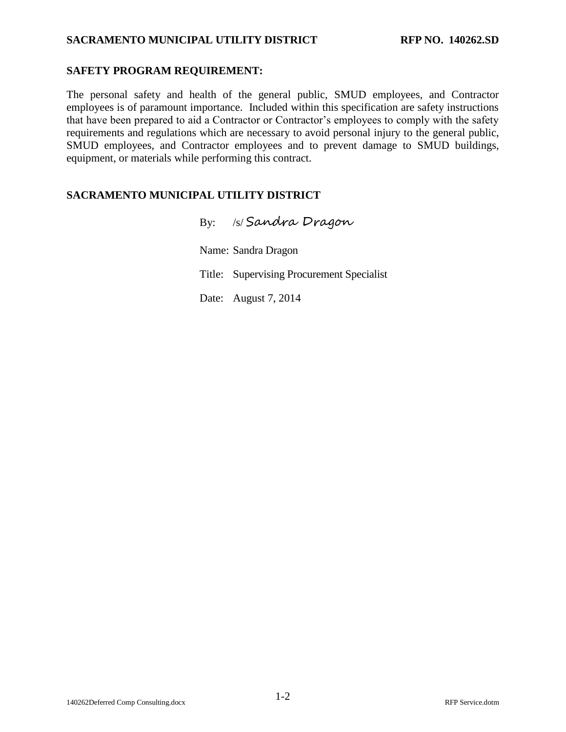### **SAFETY PROGRAM REQUIREMENT:**

The personal safety and health of the general public, SMUD employees, and Contractor employees is of paramount importance. Included within this specification are safety instructions that have been prepared to aid a Contractor or Contractor's employees to comply with the safety requirements and regulations which are necessary to avoid personal injury to the general public, SMUD employees, and Contractor employees and to prevent damage to SMUD buildings, equipment, or materials while performing this contract.

## **SACRAMENTO MUNICIPAL UTILITY DISTRICT**

By: /s/ Sandra Dragon Name: Sandra Dragon Title: Supervising Procurement Specialist Date: August 7, 2014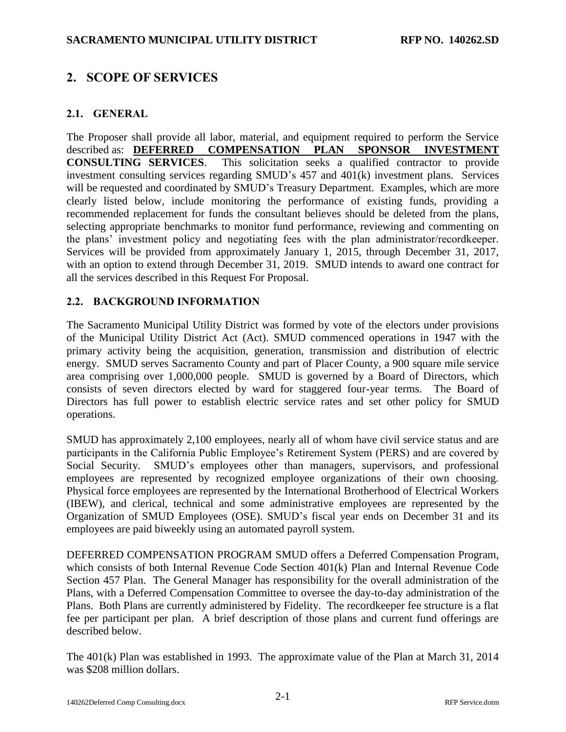# <span id="page-5-0"></span>**2. SCOPE OF SERVICES**

### <span id="page-5-1"></span>**2.1. GENERAL**

The Proposer shall provide all labor, material, and equipment required to perform the Service described as: **[DEFERRED COMPENSATION PLAN SPONSOR INVESTMENT](#page-0-1) [CONSULTING SERVICES](#page-0-1)**. This solicitation seeks a qualified contractor to provide investment consulting services regarding SMUD's 457 and 401(k) investment plans. Services will be requested and coordinated by SMUD's Treasury Department. Examples, which are more clearly listed below, include monitoring the performance of existing funds, providing a recommended replacement for funds the consultant believes should be deleted from the plans, selecting appropriate benchmarks to monitor fund performance, reviewing and commenting on the plans' investment policy and negotiating fees with the plan administrator/recordkeeper. Services will be provided from approximately January 1, 2015, through December 31, 2017, with an option to extend through December 31, 2019. SMUD intends to award one contract for all the services described in this Request For Proposal.

#### <span id="page-5-2"></span>**2.2. BACKGROUND INFORMATION**

The Sacramento Municipal Utility District was formed by vote of the electors under provisions of the Municipal Utility District Act (Act). SMUD commenced operations in 1947 with the primary activity being the acquisition, generation, transmission and distribution of electric energy. SMUD serves Sacramento County and part of Placer County, a 900 square mile service area comprising over 1,000,000 people. SMUD is governed by a Board of Directors, which consists of seven directors elected by ward for staggered four-year terms. The Board of Directors has full power to establish electric service rates and set other policy for SMUD operations.

SMUD has approximately 2,100 employees, nearly all of whom have civil service status and are participants in the California Public Employee's Retirement System (PERS) and are covered by Social Security. SMUD's employees other than managers, supervisors, and professional employees are represented by recognized employee organizations of their own choosing. Physical force employees are represented by the International Brotherhood of Electrical Workers (IBEW), and clerical, technical and some administrative employees are represented by the Organization of SMUD Employees (OSE). SMUD's fiscal year ends on December 31 and its employees are paid biweekly using an automated payroll system.

DEFERRED COMPENSATION PROGRAM SMUD offers a Deferred Compensation Program, which consists of both Internal Revenue Code Section 401(k) Plan and Internal Revenue Code Section 457 Plan. The General Manager has responsibility for the overall administration of the Plans, with a Deferred Compensation Committee to oversee the day-to-day administration of the Plans. Both Plans are currently administered by Fidelity. The recordkeeper fee structure is a flat fee per participant per plan. A brief description of those plans and current fund offerings are described below.

The 401(k) Plan was established in 1993. The approximate value of the Plan at March 31, 2014 was \$208 million dollars.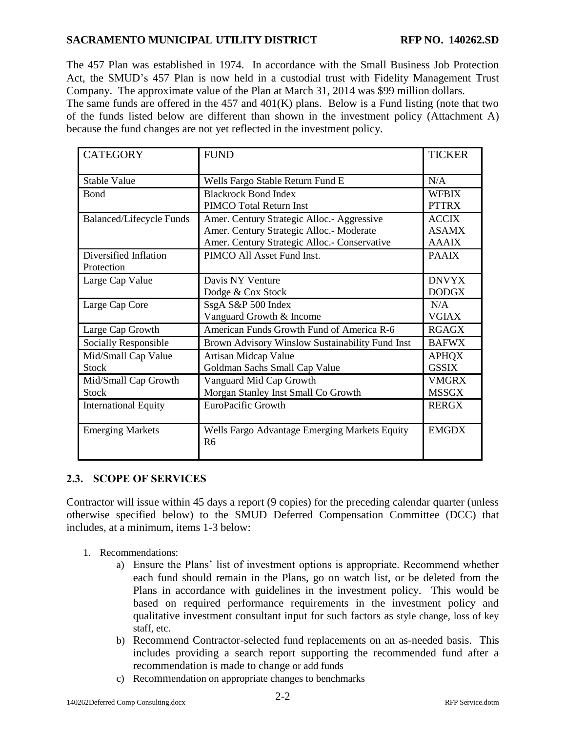The 457 Plan was established in 1974. In accordance with the Small Business Job Protection Act, the SMUD's 457 Plan is now held in a custodial trust with Fidelity Management Trust Company. The approximate value of the Plan at March 31, 2014 was \$99 million dollars.

The same funds are offered in the 457 and  $401(K)$  plans. Below is a Fund listing (note that two of the funds listed below are different than shown in the investment policy (Attachment A) because the fund changes are not yet reflected in the investment policy.

| <b>CATEGORY</b>                 | <b>FUND</b>                                                     | <b>TICKER</b> |
|---------------------------------|-----------------------------------------------------------------|---------------|
| <b>Stable Value</b>             | Wells Fargo Stable Return Fund E                                | N/A           |
| Bond                            | <b>Blackrock Bond Index</b>                                     | <b>WFBIX</b>  |
|                                 | <b>PIMCO</b> Total Return Inst                                  | <b>PTTRX</b>  |
| <b>Balanced/Lifecycle Funds</b> | Amer. Century Strategic Alloc. - Aggressive                     | <b>ACCIX</b>  |
|                                 | Amer. Century Strategic Alloc.- Moderate                        | <b>ASAMX</b>  |
|                                 | Amer. Century Strategic Alloc.- Conservative                    | <b>AAAIX</b>  |
| Diversified Inflation           | PIMCO All Asset Fund Inst.                                      | <b>PAAIX</b>  |
| Protection                      |                                                                 |               |
| Large Cap Value                 | Davis NY Venture                                                | <b>DNVYX</b>  |
|                                 | Dodge & Cox Stock                                               | <b>DODGX</b>  |
| Large Cap Core                  | SsgA S&P 500 Index                                              | N/A           |
|                                 | Vanguard Growth & Income                                        | <b>VGIAX</b>  |
| Large Cap Growth                | American Funds Growth Fund of America R-6                       | <b>RGAGX</b>  |
| Socially Responsible            | Brown Advisory Winslow Sustainability Fund Inst                 | <b>BAFWX</b>  |
| Mid/Small Cap Value             | Artisan Midcap Value                                            | <b>APHQX</b>  |
| <b>Stock</b>                    | Goldman Sachs Small Cap Value                                   | <b>GSSIX</b>  |
| Mid/Small Cap Growth            | Vanguard Mid Cap Growth                                         | <b>VMGRX</b>  |
| <b>Stock</b>                    | Morgan Stanley Inst Small Co Growth                             | <b>MSSGX</b>  |
| <b>International Equity</b>     | EuroPacific Growth                                              | <b>RERGX</b>  |
|                                 |                                                                 |               |
| <b>Emerging Markets</b>         | Wells Fargo Advantage Emerging Markets Equity<br>R <sub>6</sub> | <b>EMGDX</b>  |

### <span id="page-6-0"></span>**2.3. SCOPE OF SERVICES**

Contractor will issue within 45 days a report (9 copies) for the preceding calendar quarter (unless otherwise specified below) to the SMUD Deferred Compensation Committee (DCC) that includes, at a minimum, items 1-3 below:

- 1. Recommendations:
	- a) Ensure the Plans' list of investment options is appropriate. Recommend whether each fund should remain in the Plans, go on watch list, or be deleted from the Plans in accordance with guidelines in the investment policy. This would be based on required performance requirements in the investment policy and qualitative investment consultant input for such factors as style change, loss of key staff, etc.
	- b) Recommend Contractor-selected fund replacements on an as-needed basis. This includes providing a search report supporting the recommended fund after a recommendation is made to change or add funds
	- c) Recommendation on appropriate changes to benchmarks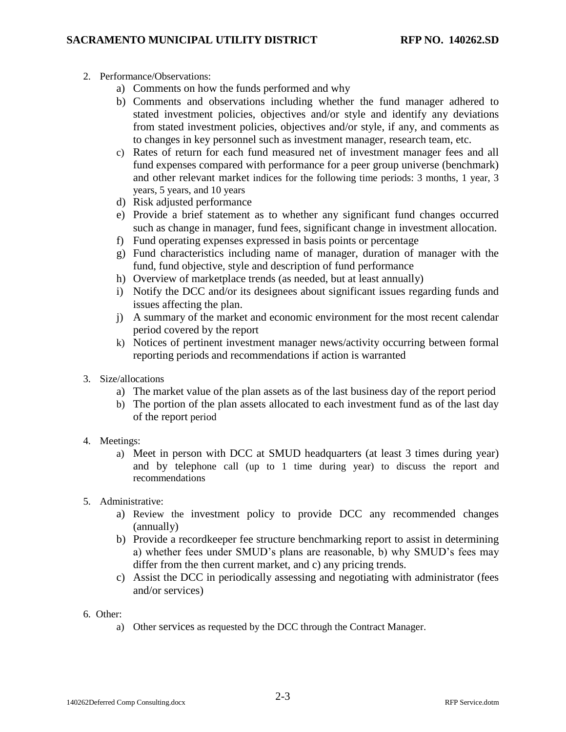- 2. Performance/Observations:
	- a) Comments on how the funds performed and why
	- b) Comments and observations including whether the fund manager adhered to stated investment policies, objectives and/or style and identify any deviations from stated investment policies, objectives and/or style, if any, and comments as to changes in key personnel such as investment manager, research team, etc.
	- c) Rates of return for each fund measured net of investment manager fees and all fund expenses compared with performance for a peer group universe (benchmark) and other relevant market indices for the following time periods: 3 months, 1 year, 3 years, 5 years, and 10 years
	- d) Risk adjusted performance
	- e) Provide a brief statement as to whether any significant fund changes occurred such as change in manager, fund fees, significant change in investment allocation.
	- f) Fund operating expenses expressed in basis points or percentage
	- g) Fund characteristics including name of manager, duration of manager with the fund, fund objective, style and description of fund performance
	- h) Overview of marketplace trends (as needed, but at least annually)
	- i) Notify the DCC and/or its designees about significant issues regarding funds and issues affecting the plan.
	- j) A summary of the market and economic environment for the most recent calendar period covered by the report
	- k) Notices of pertinent investment manager news/activity occurring between formal reporting periods and recommendations if action is warranted
- 3. Size/allocations
	- a) The market value of the plan assets as of the last business day of the report period
	- b) The portion of the plan assets allocated to each investment fund as of the last day of the report period
- 4. Meetings:
	- a) Meet in person with DCC at SMUD headquarters (at least 3 times during year) and by telephone call (up to 1 time during year) to discuss the report and recommendations
- 5. Administrative:
	- a) Review the investment policy to provide DCC any recommended changes (annually)
	- b) Provide a recordkeeper fee structure benchmarking report to assist in determining a) whether fees under SMUD's plans are reasonable, b) why SMUD's fees may differ from the then current market, and c) any pricing trends.
	- c) Assist the DCC in periodically assessing and negotiating with administrator (fees and/or services)
- 6. Other:
	- a) Other services as requested by the DCC through the Contract Manager.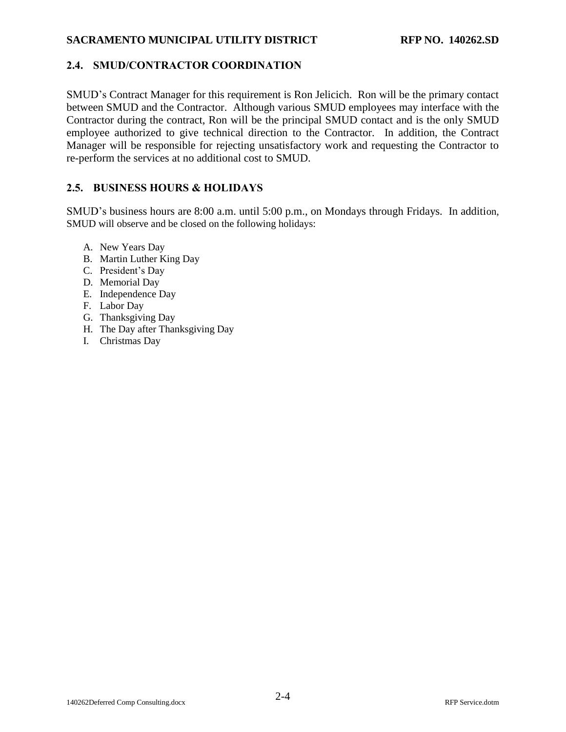### <span id="page-8-0"></span>**2.4. SMUD/CONTRACTOR COORDINATION**

SMUD's Contract Manager for this requirement is Ron Jelicich. Ron will be the primary contact between SMUD and the Contractor. Although various SMUD employees may interface with the Contractor during the contract, Ron will be the principal SMUD contact and is the only SMUD employee authorized to give technical direction to the Contractor. In addition, the Contract Manager will be responsible for rejecting unsatisfactory work and requesting the Contractor to re-perform the services at no additional cost to SMUD.

### <span id="page-8-1"></span>**2.5. BUSINESS HOURS & HOLIDAYS**

SMUD's business hours are 8:00 a.m. until 5:00 p.m., on Mondays through Fridays. In addition, SMUD will observe and be closed on the following holidays:

- A. New Years Day
- B. Martin Luther King Day
- C. President's Day
- D. Memorial Day
- E. Independence Day
- F. Labor Day
- G. Thanksgiving Day
- H. The Day after Thanksgiving Day
- I. Christmas Day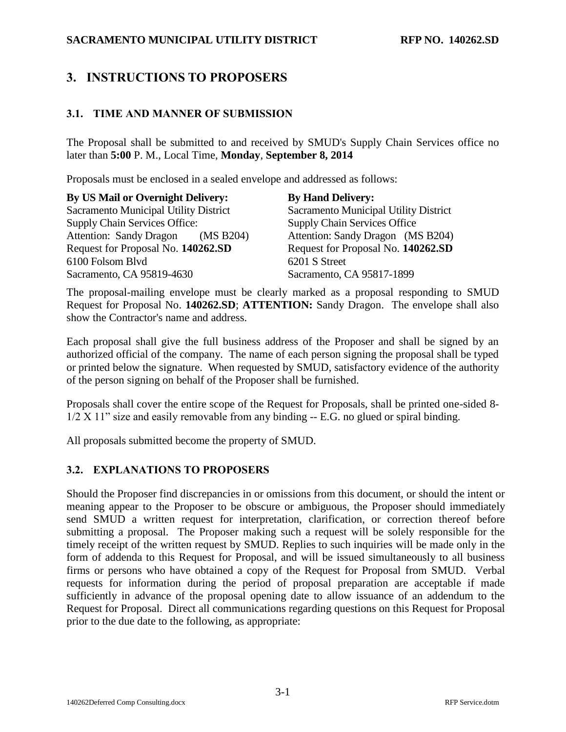# <span id="page-9-0"></span>**3. INSTRUCTIONS TO PROPOSERS**

### <span id="page-9-1"></span>**3.1. TIME AND MANNER OF SUBMISSION**

The Proposal shall be submitted to and received by SMUD's Supply Chain Services office no later than **5:00** [P. M.,](#page-0-2) Local Time, **[Monday](#page-0-3)**, **[September](#page-0-4) 8, [2014](#page-0-4)**

Proposals must be enclosed in a sealed envelope and addressed as follows:

| <b>By US Mail or Overnight Delivery:</b> | <b>By Hand Delivery:</b>                     |
|------------------------------------------|----------------------------------------------|
| Sacramento Municipal Utility District    | <b>Sacramento Municipal Utility District</b> |
| <b>Supply Chain Services Office:</b>     | <b>Supply Chain Services Office</b>          |
| Attention: Sandy Dragon (MS B204)        | Attention: Sandy Dragon (MS B204)            |
| Request for Proposal No. 140262.SD       | Request for Proposal No. 140262.SD           |
| 6100 Folsom Blvd                         | 6201 S Street                                |
| Sacramento, CA 95819-4630                | Sacramento, CA 95817-1899                    |

The proposal-mailing envelope must be clearly marked as a proposal responding to SMUD Request for Proposal No. **[140262.SD](#page-0-0)**; **ATTENTION:** Sandy Dragon. The envelope shall also show the Contractor's name and address.

Each proposal shall give the full business address of the Proposer and shall be signed by an authorized official of the company. The name of each person signing the proposal shall be typed or printed below the signature. When requested by SMUD, satisfactory evidence of the authority of the person signing on behalf of the Proposer shall be furnished.

Proposals shall cover the entire scope of the Request for Proposals, shall be printed one-sided 8- 1/2 X 11" size and easily removable from any binding -- E.G. no glued or spiral binding.

All proposals submitted become the property of SMUD.

#### <span id="page-9-2"></span>**3.2. EXPLANATIONS TO PROPOSERS**

Should the Proposer find discrepancies in or omissions from this document, or should the intent or meaning appear to the Proposer to be obscure or ambiguous, the Proposer should immediately send SMUD a written request for interpretation, clarification, or correction thereof before submitting a proposal. The Proposer making such a request will be solely responsible for the timely receipt of the written request by SMUD. Replies to such inquiries will be made only in the form of addenda to this Request for Proposal, and will be issued simultaneously to all business firms or persons who have obtained a copy of the Request for Proposal from SMUD. Verbal requests for information during the period of proposal preparation are acceptable if made sufficiently in advance of the proposal opening date to allow issuance of an addendum to the Request for Proposal. Direct all communications regarding questions on this Request for Proposal prior to the due date to the following, as appropriate: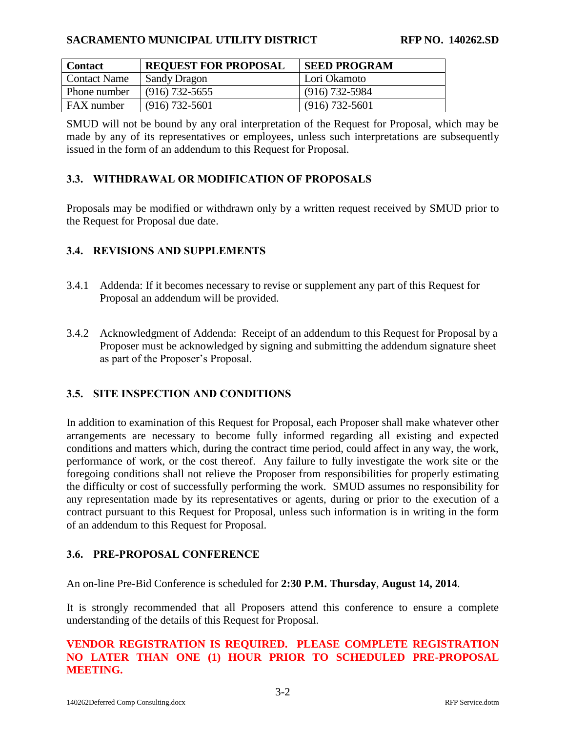| <b>Contact</b>    | <b>REQUEST FOR PROPOSAL</b> | <b>SEED PROGRAM</b> |
|-------------------|-----------------------------|---------------------|
| Contact Name      | <b>Sandy Dragon</b>         | Lori Okamoto        |
| Phone number      | $(916)$ 732-5655            | $(916)$ 732-5984    |
| <b>FAX</b> number | $(916) 732 - 5601$          | $(916) 732 - 5601$  |

SMUD will not be bound by any oral interpretation of the Request for Proposal, which may be made by any of its representatives or employees, unless such interpretations are subsequently issued in the form of an addendum to this Request for Proposal.

#### <span id="page-10-0"></span>**3.3. WITHDRAWAL OR MODIFICATION OF PROPOSALS**

Proposals may be modified or withdrawn only by a written request received by SMUD prior to the Request for Proposal due date.

#### <span id="page-10-1"></span>**3.4. REVISIONS AND SUPPLEMENTS**

- 3.4.1 Addenda: If it becomes necessary to revise or supplement any part of this Request for Proposal an addendum will be provided.
- 3.4.2 Acknowledgment of Addenda: Receipt of an addendum to this Request for Proposal by a Proposer must be acknowledged by signing and submitting the addendum signature sheet as part of the Proposer's Proposal.

### <span id="page-10-2"></span>**3.5. SITE INSPECTION AND CONDITIONS**

In addition to examination of this Request for Proposal, each Proposer shall make whatever other arrangements are necessary to become fully informed regarding all existing and expected conditions and matters which, during the contract time period, could affect in any way, the work, performance of work, or the cost thereof. Any failure to fully investigate the work site or the foregoing conditions shall not relieve the Proposer from responsibilities for properly estimating the difficulty or cost of successfully performing the work. SMUD assumes no responsibility for any representation made by its representatives or agents, during or prior to the execution of a contract pursuant to this Request for Proposal, unless such information is in writing in the form of an addendum to this Request for Proposal.

#### <span id="page-10-3"></span>**3.6. PRE-PROPOSAL CONFERENCE**

An on-line Pre-Bid Conference is scheduled for **2:30 P.M. [Thursday](#page-0-7)**, **[August](#page-0-8) 14, [2014](#page-0-8)**.

It is strongly recommended that all Proposers attend this conference to ensure a complete understanding of the details of this Request for Proposal.

### **VENDOR REGISTRATION IS REQUIRED. PLEASE COMPLETE REGISTRATION NO LATER THAN ONE (1) HOUR PRIOR TO SCHEDULED PRE-PROPOSAL MEETING.**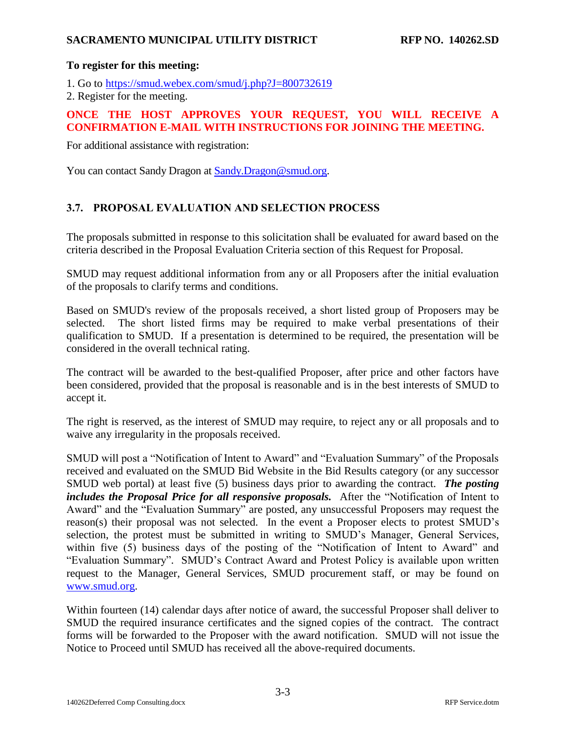#### **To register for this meeting:**

1. Go to <https://smud.webex.com/smud/j.php?J=800732619>

2. Register for the meeting.

### **ONCE THE HOST APPROVES YOUR REQUEST, YOU WILL RECEIVE A CONFIRMATION E-MAIL WITH INSTRUCTIONS FOR JOINING THE MEETING.**

For additional assistance with registration:

You can contact Sandy Dragon at [Sandy.Dragon@smud.org.](mailto:Sandy.Dragon@smud.org)

### <span id="page-11-0"></span>**3.7. PROPOSAL EVALUATION AND SELECTION PROCESS**

The proposals submitted in response to this solicitation shall be evaluated for award based on the criteria described in the Proposal Evaluation Criteria section of this Request for Proposal.

SMUD may request additional information from any or all Proposers after the initial evaluation of the proposals to clarify terms and conditions.

Based on SMUD's review of the proposals received, a short listed group of Proposers may be selected. The short listed firms may be required to make verbal presentations of their qualification to SMUD. If a presentation is determined to be required, the presentation will be considered in the overall technical rating.

The contract will be awarded to the best-qualified Proposer, after price and other factors have been considered, provided that the proposal is reasonable and is in the best interests of SMUD to accept it.

The right is reserved, as the interest of SMUD may require, to reject any or all proposals and to waive any irregularity in the proposals received.

SMUD will post a "Notification of Intent to Award" and "Evaluation Summary" of the Proposals received and evaluated on the SMUD Bid Website in the Bid Results category (or any successor SMUD web portal) at least five (5) business days prior to awarding the contract. *The posting includes the Proposal Price for all responsive proposals.* After the "Notification of Intent to Award" and the "Evaluation Summary" are posted, any unsuccessful Proposers may request the reason(s) their proposal was not selected. In the event a Proposer elects to protest SMUD's selection, the protest must be submitted in writing to SMUD's Manager, General Services, within five (5) business days of the posting of the "Notification of Intent to Award" and "Evaluation Summary". SMUD's Contract Award and Protest Policy is available upon written request to the Manager, General Services, SMUD procurement staff, or may be found on [www.smud.org.](http://www.smud.org/)

Within fourteen (14) calendar days after notice of award, the successful Proposer shall deliver to SMUD the required insurance certificates and the signed copies of the contract. The contract forms will be forwarded to the Proposer with the award notification. SMUD will not issue the Notice to Proceed until SMUD has received all the above-required documents.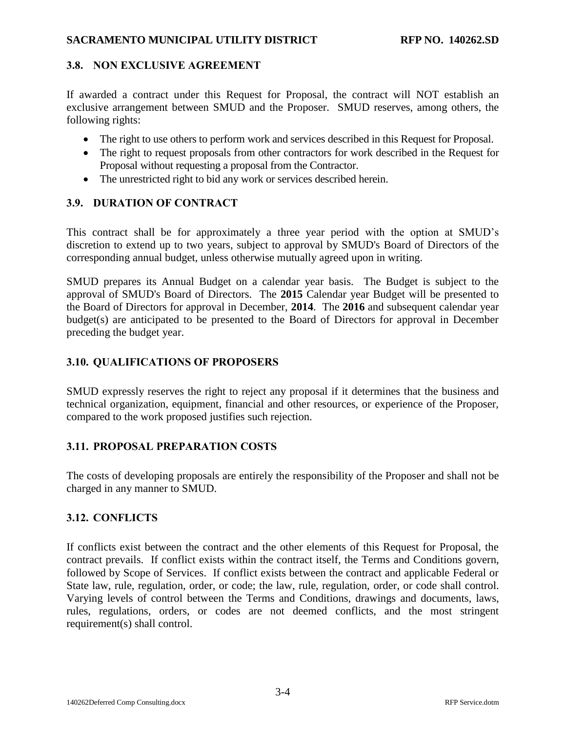### <span id="page-12-0"></span>**3.8. NON EXCLUSIVE AGREEMENT**

If awarded a contract under this Request for Proposal, the contract will NOT establish an exclusive arrangement between SMUD and the Proposer. SMUD reserves, among others, the following rights:

- The right to use others to perform work and services described in this Request for Proposal.
- The right to request proposals from other contractors for work described in the Request for Proposal without requesting a proposal from the Contractor.
- The unrestricted right to bid any work or services described herein.

### <span id="page-12-1"></span>**3.9. DURATION OF CONTRACT**

This contract shall be for approximately a three year period with the option at SMUD's discretion to extend up to two years, subject to approval by SMUD's Board of Directors of the corresponding annual budget, unless otherwise mutually agreed upon in writing.

SMUD prepares its Annual Budget on a calendar year basis. The Budget is subject to the approval of SMUD's Board of Directors. The **2015** Calendar year Budget will be presented to the Board of Directors for approval in December, **2014**. The **2016** and subsequent calendar year budget(s) are anticipated to be presented to the Board of Directors for approval in December preceding the budget year.

### <span id="page-12-2"></span>**3.10. QUALIFICATIONS OF PROPOSERS**

SMUD expressly reserves the right to reject any proposal if it determines that the business and technical organization, equipment, financial and other resources, or experience of the Proposer, compared to the work proposed justifies such rejection.

#### <span id="page-12-3"></span>**3.11. PROPOSAL PREPARATION COSTS**

The costs of developing proposals are entirely the responsibility of the Proposer and shall not be charged in any manner to SMUD.

### <span id="page-12-4"></span>**3.12. CONFLICTS**

If conflicts exist between the contract and the other elements of this Request for Proposal, the contract prevails. If conflict exists within the contract itself, the Terms and Conditions govern, followed by Scope of Services. If conflict exists between the contract and applicable Federal or State law, rule, regulation, order, or code; the law, rule, regulation, order, or code shall control. Varying levels of control between the Terms and Conditions, drawings and documents, laws, rules, regulations, orders, or codes are not deemed conflicts, and the most stringent requirement(s) shall control.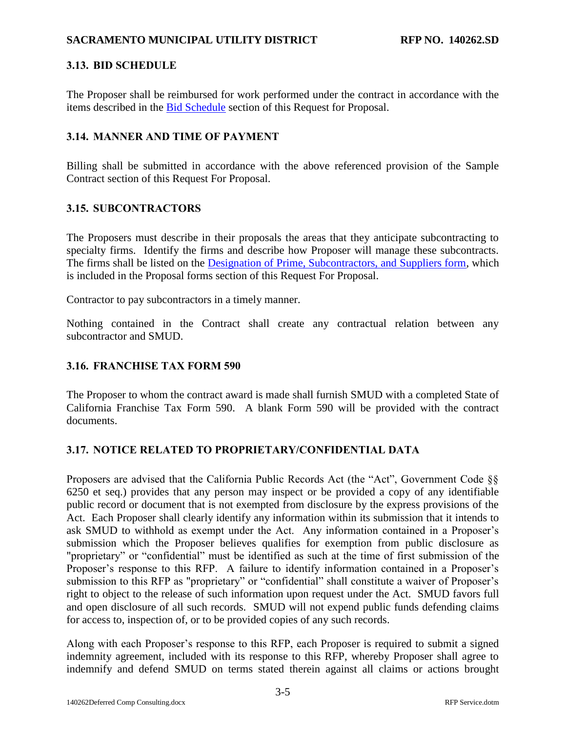## <span id="page-13-0"></span>**3.13. BID SCHEDULE**

The Proposer shall be reimbursed for work performed under the contract in accordance with the items described in the [Bid Schedule](#page-35-0) section of this Request for Proposal.

### <span id="page-13-1"></span>**3.14. MANNER AND TIME OF PAYMENT**

Billing shall be submitted in accordance with the above referenced provision of the Sample Contract section of this Request For Proposal.

## <span id="page-13-2"></span>**3.15. SUBCONTRACTORS**

The Proposers must describe in their proposals the areas that they anticipate subcontracting to specialty firms. Identify the firms and describe how Proposer will manage these subcontracts. The firms shall be listed on the [Designation of Prime, Subcontractors, and Suppliers form,](#page-27-0) which is included in the Proposal forms section of this Request For Proposal.

Contractor to pay subcontractors in a timely manner.

Nothing contained in the Contract shall create any contractual relation between any subcontractor and SMUD.

### <span id="page-13-3"></span>**3.16. FRANCHISE TAX FORM 590**

The Proposer to whom the contract award is made shall furnish SMUD with a completed State of California Franchise Tax Form 590. A blank Form 590 will be provided with the contract documents.

## <span id="page-13-4"></span>**3.17. NOTICE RELATED TO PROPRIETARY/CONFIDENTIAL DATA**

Proposers are advised that the California Public Records Act (the "Act", Government Code §§ 6250 et seq.) provides that any person may inspect or be provided a copy of any identifiable public record or document that is not exempted from disclosure by the express provisions of the Act. Each Proposer shall clearly identify any information within its submission that it intends to ask SMUD to withhold as exempt under the Act. Any information contained in a Proposer's submission which the Proposer believes qualifies for exemption from public disclosure as "proprietary" or "confidential" must be identified as such at the time of first submission of the Proposer's response to this RFP. A failure to identify information contained in a Proposer's submission to this RFP as "proprietary" or "confidential" shall constitute a waiver of Proposer's right to object to the release of such information upon request under the Act. SMUD favors full and open disclosure of all such records. SMUD will not expend public funds defending claims for access to, inspection of, or to be provided copies of any such records.

Along with each Proposer's response to this RFP, each Proposer is required to submit a signed indemnity agreement, included with its response to this RFP, whereby Proposer shall agree to indemnify and defend SMUD on terms stated therein against all claims or actions brought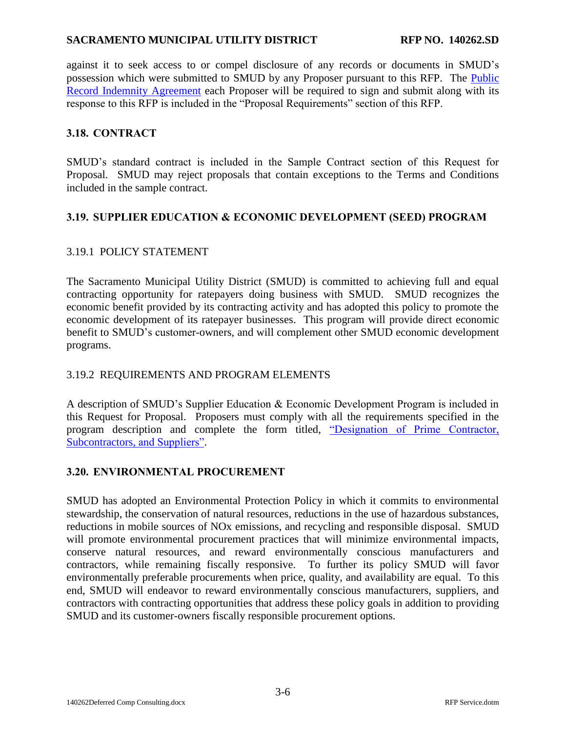against it to seek access to or compel disclosure of any records or documents in SMUD's possession which were submitted to SMUD by any Proposer pursuant to this RFP. The [Public](#page-24-0)  [Record Indemnity Agreement](#page-24-0) each Proposer will be required to sign and submit along with its response to this RFP is included in the "Proposal Requirements" section of this RFP.

### <span id="page-14-0"></span>**3.18. CONTRACT**

SMUD's standard contract is included in the Sample Contract section of this Request for Proposal. SMUD may reject proposals that contain exceptions to the Terms and Conditions included in the sample contract.

### <span id="page-14-1"></span>**3.19. SUPPLIER EDUCATION & ECONOMIC DEVELOPMENT (SEED) PROGRAM**

### 3.19.1 POLICY STATEMENT

The Sacramento Municipal Utility District (SMUD) is committed to achieving full and equal contracting opportunity for ratepayers doing business with SMUD. SMUD recognizes the economic benefit provided by its contracting activity and has adopted this policy to promote the economic development of its ratepayer businesses. This program will provide direct economic benefit to SMUD's customer-owners, and will complement other SMUD economic development programs.

### 3.19.2 REQUIREMENTS AND PROGRAM ELEMENTS

A description of SMUD's Supplier Education & Economic Development Program is included in this Request for Proposal. Proposers must comply with all the requirements specified in the program description and complete the form titled, ["Designation of Prime Contractor,](#page-27-0)  [Subcontractors,](#page-27-0) and Suppliers".

### <span id="page-14-2"></span>**3.20. ENVIRONMENTAL PROCUREMENT**

SMUD has adopted an Environmental Protection Policy in which it commits to environmental stewardship, the conservation of natural resources, reductions in the use of hazardous substances, reductions in mobile sources of NOx emissions, and recycling and responsible disposal. SMUD will promote environmental procurement practices that will minimize environmental impacts, conserve natural resources, and reward environmentally conscious manufacturers and contractors, while remaining fiscally responsive. To further its policy SMUD will favor environmentally preferable procurements when price, quality, and availability are equal. To this end, SMUD will endeavor to reward environmentally conscious manufacturers, suppliers, and contractors with contracting opportunities that address these policy goals in addition to providing SMUD and its customer-owners fiscally responsible procurement options.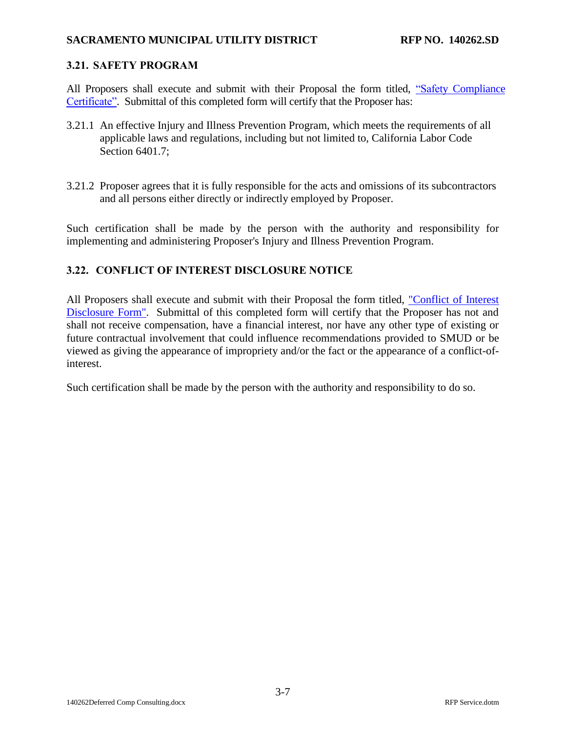### <span id="page-15-0"></span>**3.21. SAFETY PROGRAM**

All Proposers shall execute and submit with their Proposal the form titled, ["Safety Compliance](#page-22-0)  [Certificate".](#page-22-0) Submittal of this completed form will certify that the Proposer has:

- 3.21.1 An effective Injury and Illness Prevention Program, which meets the requirements of all applicable laws and regulations, including but not limited to, California Labor Code Section 6401.7;
- 3.21.2 Proposer agrees that it is fully responsible for the acts and omissions of its subcontractors and all persons either directly or indirectly employed by Proposer.

Such certification shall be made by the person with the authority and responsibility for implementing and administering Proposer's Injury and Illness Prevention Program.

### <span id="page-15-1"></span>**3.22. CONFLICT OF INTEREST DISCLOSURE NOTICE**

All Proposers shall execute and submit with their Proposal the form titled, ["Conflict of Interest](#page-37-0)  [Disclosure Form".](#page-37-0) Submittal of this completed form will certify that the Proposer has not and shall not receive compensation, have a financial interest, nor have any other type of existing or future contractual involvement that could influence recommendations provided to SMUD or be viewed as giving the appearance of impropriety and/or the fact or the appearance of a conflict-ofinterest.

Such certification shall be made by the person with the authority and responsibility to do so.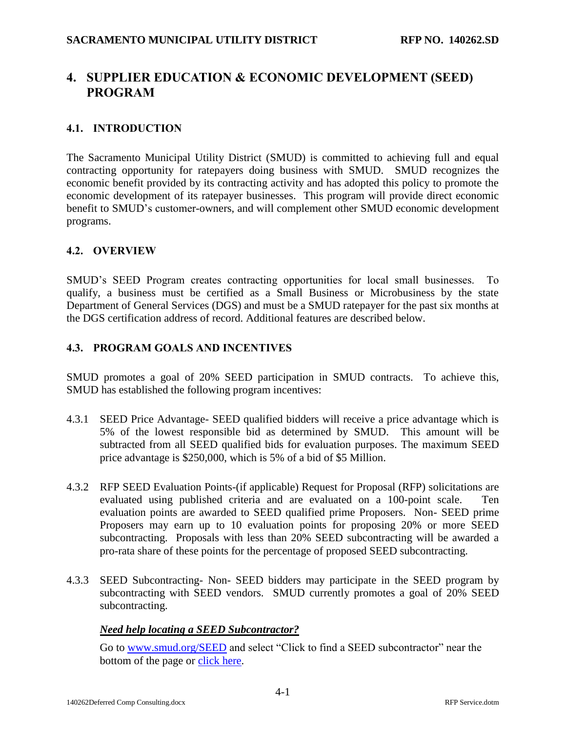# <span id="page-16-0"></span>**4. SUPPLIER EDUCATION & ECONOMIC DEVELOPMENT (SEED) PROGRAM**

### <span id="page-16-1"></span>**4.1. INTRODUCTION**

The Sacramento Municipal Utility District (SMUD) is committed to achieving full and equal contracting opportunity for ratepayers doing business with SMUD. SMUD recognizes the economic benefit provided by its contracting activity and has adopted this policy to promote the economic development of its ratepayer businesses. This program will provide direct economic benefit to SMUD's customer-owners, and will complement other SMUD economic development programs.

### <span id="page-16-2"></span>**4.2. OVERVIEW**

SMUD's SEED Program creates contracting opportunities for local small businesses. To qualify, a business must be certified as a Small Business or Microbusiness by the state Department of General Services (DGS) and must be a SMUD ratepayer for the past six months at the DGS certification address of record. Additional features are described below.

### <span id="page-16-3"></span>**4.3. PROGRAM GOALS AND INCENTIVES**

SMUD promotes a goal of 20% SEED participation in SMUD contracts. To achieve this, SMUD has established the following program incentives:

- 4.3.1 SEED Price Advantage- SEED qualified bidders will receive a price advantage which is 5% of the lowest responsible bid as determined by SMUD. This amount will be subtracted from all SEED qualified bids for evaluation purposes. The maximum SEED price advantage is \$250,000, which is 5% of a bid of \$5 Million.
- 4.3.2 RFP SEED Evaluation Points-(if applicable) Request for Proposal (RFP) solicitations are evaluated using published criteria and are evaluated on a 100-point scale. Ten evaluation points are awarded to SEED qualified prime Proposers. Non- SEED prime Proposers may earn up to 10 evaluation points for proposing 20% or more SEED subcontracting. Proposals with less than 20% SEED subcontracting will be awarded a pro-rata share of these points for the percentage of proposed SEED subcontracting.
- 4.3.3 SEED Subcontracting- Non- SEED bidders may participate in the SEED program by subcontracting with SEED vendors. SMUD currently promotes a goal of 20% SEED subcontracting.

#### *Need help locating a SEED Subcontractor?*

Go to [www.smud.org/SEED](http://www.smud.org/SEED) and select "Click to find a SEED subcontractor" near the bottom of the page or [click here.](https://www.smud.org/en/do-business-with-smud/small-business-incentive-program/documents/Locate%20a%20SEED%20Subcontractor.pdf)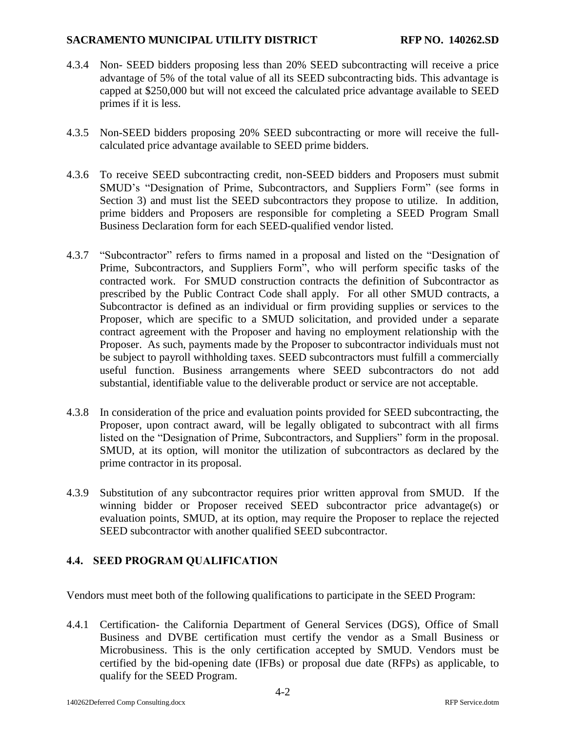- 4.3.4 Non- SEED bidders proposing less than 20% SEED subcontracting will receive a price advantage of 5% of the total value of all its SEED subcontracting bids. This advantage is capped at \$250,000 but will not exceed the calculated price advantage available to SEED primes if it is less.
- 4.3.5 Non-SEED bidders proposing 20% SEED subcontracting or more will receive the fullcalculated price advantage available to SEED prime bidders.
- 4.3.6 To receive SEED subcontracting credit, non-SEED bidders and Proposers must submit SMUD's "Designation of Prime, Subcontractors, and Suppliers Form" (see forms in Section 3) and must list the SEED subcontractors they propose to utilize. In addition, prime bidders and Proposers are responsible for completing a SEED Program Small Business Declaration form for each SEED-qualified vendor listed.
- 4.3.7 "Subcontractor" refers to firms named in a proposal and listed on the "Designation of Prime, Subcontractors, and Suppliers Form", who will perform specific tasks of the contracted work. For SMUD construction contracts the definition of Subcontractor as prescribed by the Public Contract Code shall apply. For all other SMUD contracts, a Subcontractor is defined as an individual or firm providing supplies or services to the Proposer, which are specific to a SMUD solicitation, and provided under a separate contract agreement with the Proposer and having no employment relationship with the Proposer. As such, payments made by the Proposer to subcontractor individuals must not be subject to payroll withholding taxes. SEED subcontractors must fulfill a commercially useful function. Business arrangements where SEED subcontractors do not add substantial, identifiable value to the deliverable product or service are not acceptable.
- 4.3.8 In consideration of the price and evaluation points provided for SEED subcontracting, the Proposer, upon contract award, will be legally obligated to subcontract with all firms listed on the "Designation of Prime, Subcontractors, and Suppliers" form in the proposal. SMUD, at its option, will monitor the utilization of subcontractors as declared by the prime contractor in its proposal.
- 4.3.9 Substitution of any subcontractor requires prior written approval from SMUD. If the winning bidder or Proposer received SEED subcontractor price advantage(s) or evaluation points, SMUD, at its option, may require the Proposer to replace the rejected SEED subcontractor with another qualified SEED subcontractor.

### <span id="page-17-0"></span>**4.4. SEED PROGRAM QUALIFICATION**

Vendors must meet both of the following qualifications to participate in the SEED Program:

4.4.1 Certification- the California Department of General Services (DGS), Office of Small Business and DVBE certification must certify the vendor as a Small Business or Microbusiness. This is the only certification accepted by SMUD. Vendors must be certified by the bid-opening date (IFBs) or proposal due date (RFPs) as applicable, to qualify for the SEED Program.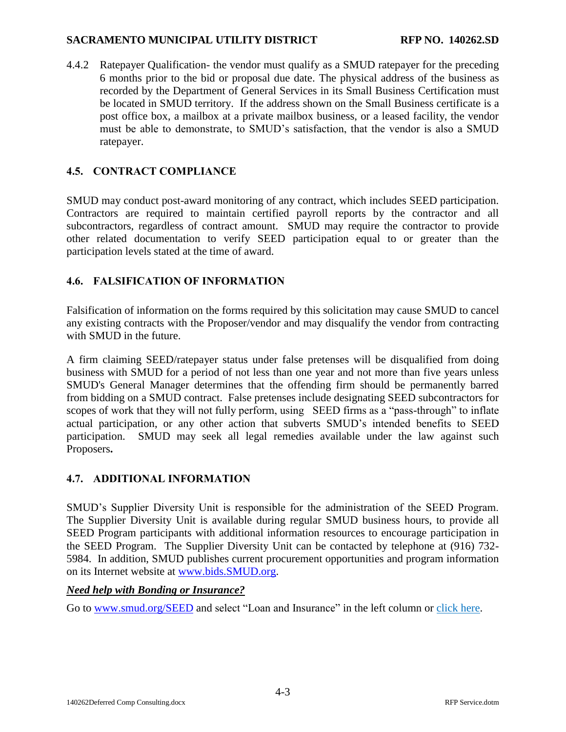4.4.2 Ratepayer Qualification- the vendor must qualify as a SMUD ratepayer for the preceding 6 months prior to the bid or proposal due date. The physical address of the business as recorded by the Department of General Services in its Small Business Certification must be located in SMUD territory. If the address shown on the Small Business certificate is a post office box, a mailbox at a private mailbox business, or a leased facility, the vendor must be able to demonstrate, to SMUD's satisfaction, that the vendor is also a SMUD ratepayer.

### <span id="page-18-0"></span>**4.5. CONTRACT COMPLIANCE**

SMUD may conduct post-award monitoring of any contract, which includes SEED participation. Contractors are required to maintain certified payroll reports by the contractor and all subcontractors, regardless of contract amount. SMUD may require the contractor to provide other related documentation to verify SEED participation equal to or greater than the participation levels stated at the time of award.

### <span id="page-18-1"></span>**4.6. FALSIFICATION OF INFORMATION**

Falsification of information on the forms required by this solicitation may cause SMUD to cancel any existing contracts with the Proposer/vendor and may disqualify the vendor from contracting with SMUD in the future.

A firm claiming SEED/ratepayer status under false pretenses will be disqualified from doing business with SMUD for a period of not less than one year and not more than five years unless SMUD's General Manager determines that the offending firm should be permanently barred from bidding on a SMUD contract. False pretenses include designating SEED subcontractors for scopes of work that they will not fully perform, using SEED firms as a "pass-through" to inflate actual participation, or any other action that subverts SMUD's intended benefits to SEED participation. SMUD may seek all legal remedies available under the law against such Proposers**.**

### <span id="page-18-2"></span>**4.7. ADDITIONAL INFORMATION**

SMUD's Supplier Diversity Unit is responsible for the administration of the SEED Program. The Supplier Diversity Unit is available during regular SMUD business hours, to provide all SEED Program participants with additional information resources to encourage participation in the SEED Program. The Supplier Diversity Unit can be contacted by telephone at (916) 732- 5984. In addition, SMUD publishes current procurement opportunities and program information on its Internet website at [www.bids.SMUD.org.](http://www.bids.smud.org/)

### *Need help with Bonding or Insurance?*

Go to [www.smud.org/SEED](http://www.smud.org/SEED) and select "Loan and Insurance" in the left column or [click here.](https://www.smud.org/en/do-business-with-smud/small-business-incentive-program/loan-and-insurance.htm)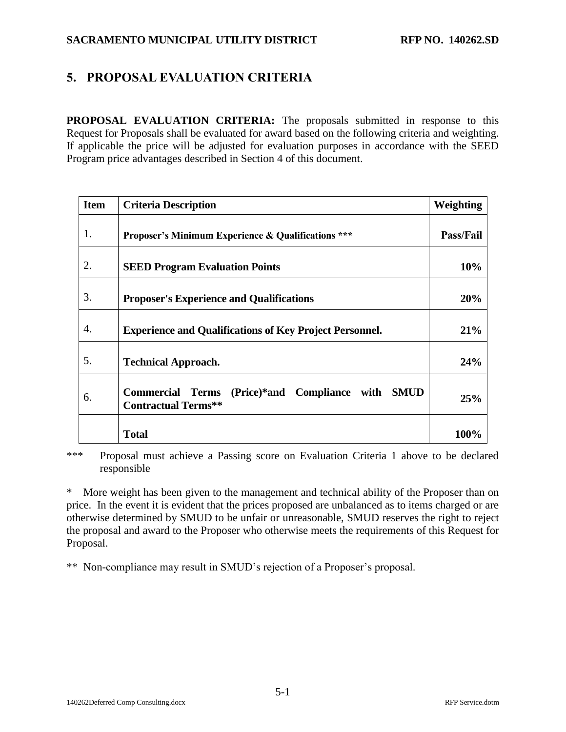# <span id="page-19-0"></span>**5. PROPOSAL EVALUATION CRITERIA**

**PROPOSAL EVALUATION CRITERIA:** The proposals submitted in response to this Request for Proposals shall be evaluated for award based on the following criteria and weighting. If applicable the price will be adjusted for evaluation purposes in accordance with the SEED Program price advantages described in Section [4](#page-16-0) of this document.

| <b>Item</b> | <b>Criteria Description</b>                                                                            | Weighting        |
|-------------|--------------------------------------------------------------------------------------------------------|------------------|
| 1.          | <b>Proposer's Minimum Experience &amp; Qualifications ***</b>                                          | <b>Pass/Fail</b> |
| 2.          | <b>SEED Program Evaluation Points</b>                                                                  | 10%              |
| 3.          | <b>Proposer's Experience and Qualifications</b>                                                        | 20%              |
| 4.          | <b>Experience and Qualifications of Key Project Personnel.</b>                                         | 21%              |
| 5.          | <b>Technical Approach.</b>                                                                             | 24%              |
| 6.          | <b>Commercial</b><br>(Price)*and Compliance with<br><b>SMUD</b><br>Terms<br><b>Contractual Terms**</b> | 25%              |
|             | <b>Total</b>                                                                                           | 100%             |

\*\*\* Proposal must achieve a Passing score on Evaluation Criteria 1 above to be declared responsible

\* More weight has been given to the management and technical ability of the Proposer than on price. In the event it is evident that the prices proposed are unbalanced as to items charged or are otherwise determined by SMUD to be unfair or unreasonable, SMUD reserves the right to reject the proposal and award to the Proposer who otherwise meets the requirements of this Request for Proposal.

\*\* Non-compliance may result in SMUD's rejection of a Proposer's proposal.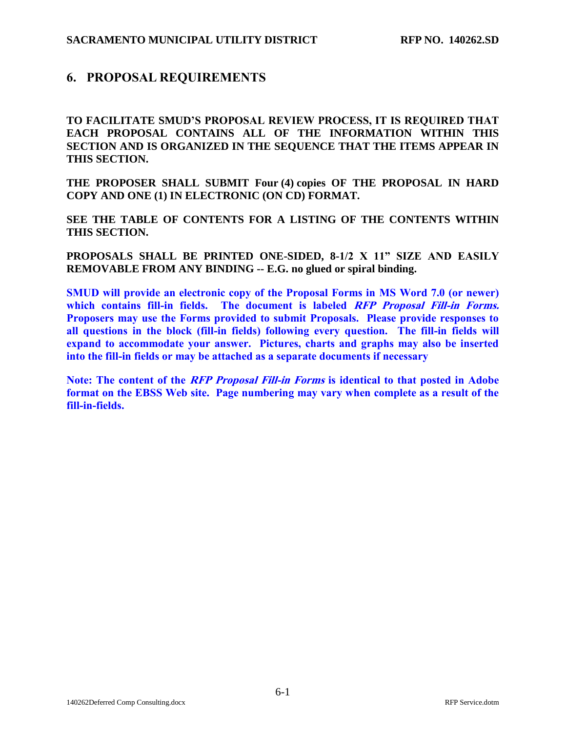## <span id="page-20-0"></span>**6. PROPOSAL REQUIREMENTS**

**TO FACILITATE SMUD'S PROPOSAL REVIEW PROCESS, IT IS REQUIRED THAT EACH PROPOSAL CONTAINS ALL OF THE INFORMATION WITHIN THIS SECTION AND IS ORGANIZED IN THE SEQUENCE THAT THE ITEMS APPEAR IN THIS SECTION.**

**THE PROPOSER SHALL SUBMIT Four (4) copies OF THE PROPOSAL IN HARD COPY AND ONE (1) IN ELECTRONIC (ON CD) FORMAT.**

**SEE THE TABLE OF CONTENTS FOR A LISTING OF THE CONTENTS WITHIN THIS SECTION.**

**PROPOSALS SHALL BE PRINTED ONE-SIDED, 8-1/2 X 11" SIZE AND EASILY REMOVABLE FROM ANY BINDING -- E.G. no glued or spiral binding.** 

**SMUD will provide an electronic copy of the Proposal Forms in MS Word 7.0 (or newer) which contains fill-in fields. The document is labeled RFP Proposal Fill-in Forms. Proposers may use the Forms provided to submit Proposals. Please provide responses to all questions in the block (fill-in fields) following every question. The fill-in fields will expand to accommodate your answer. Pictures, charts and graphs may also be inserted into the fill-in fields or may be attached as a separate documents if necessary**

**Note: The content of the RFP Proposal Fill-in Forms is identical to that posted in Adobe format on the EBSS Web site. Page numbering may vary when complete as a result of the fill-in-fields.**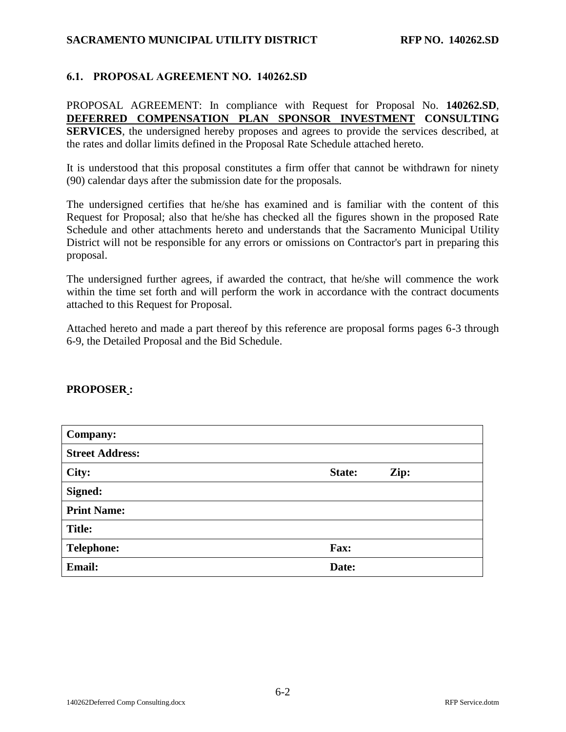### <span id="page-21-0"></span>**6.1. PROPOSAL AGREEMENT NO. [140262.SD](#page-0-0)**

PROPOSAL AGREEMENT: In compliance with Request for Proposal No. **[140262.SD](#page-0-0)**, **[DEFERRED COMPENSATION PLAN SPONSOR INVESTMENT](#page-0-1) CONSULTING [SERVICES](#page-0-1)**, the undersigned hereby proposes and agrees to provide the services described, at the rates and dollar limits defined in the Proposal Rate Schedule attached hereto.

It is understood that this proposal constitutes a firm offer that cannot be withdrawn for ninety (90) calendar days after the submission date for the proposals.

The undersigned certifies that he/she has examined and is familiar with the content of this Request for Proposal; also that he/she has checked all the figures shown in the proposed Rate Schedule and other attachments hereto and understands that the Sacramento Municipal Utility District will not be responsible for any errors or omissions on Contractor's part in preparing this proposal.

The undersigned further agrees, if awarded the contract, that he/she will commence the work within the time set forth and will perform the work in accordance with the contract documents attached to this Request for Proposal.

Attached hereto and made a part thereof by this reference are proposal forms pages 6-3 through 6-9, the Detailed Proposal and the Bid Schedule.

#### **PROPOSER :**

| <b>Company:</b>        |                |
|------------------------|----------------|
| <b>Street Address:</b> |                |
| City:                  | State:<br>Zip: |
| Signed:                |                |
| <b>Print Name:</b>     |                |
| <b>Title:</b>          |                |
| <b>Telephone:</b>      | Fax:           |
| <b>Email:</b>          | Date:          |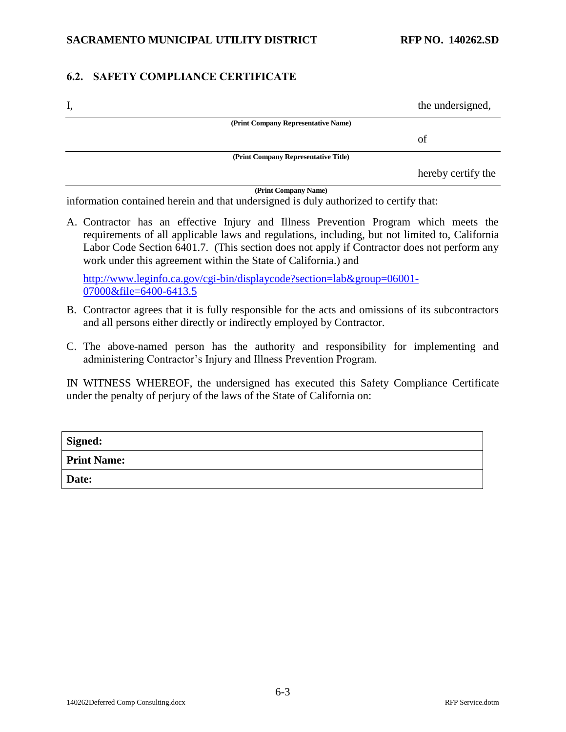### <span id="page-22-0"></span>**6.2. SAFETY COMPLIANCE CERTIFICATE**

| Ī, |                                      | the undersigned,   |
|----|--------------------------------------|--------------------|
|    | (Print Company Representative Name)  |                    |
|    |                                      | οf                 |
|    | (Print Company Representative Title) |                    |
|    |                                      | hereby certify the |

**(Print Company Name)**

information contained herein and that undersigned is duly authorized to certify that:

A. Contractor has an effective Injury and Illness Prevention Program which meets the requirements of all applicable laws and regulations, including, but not limited to, California Labor Code Section 6401.7. (This section does not apply if Contractor does not perform any work under this agreement within the State of California.) and

[http://www.leginfo.ca.gov/cgi-bin/displaycode?section=lab&group=06001-](http://www.leginfo.ca.gov/cgi-bin/displaycode?section=lab&group=06001-07000&file=6400-6413.5) [07000&file=6400-6413.5](http://www.leginfo.ca.gov/cgi-bin/displaycode?section=lab&group=06001-07000&file=6400-6413.5)

- B. Contractor agrees that it is fully responsible for the acts and omissions of its subcontractors and all persons either directly or indirectly employed by Contractor.
- C. The above-named person has the authority and responsibility for implementing and administering Contractor's Injury and Illness Prevention Program.

IN WITNESS WHEREOF, the undersigned has executed this Safety Compliance Certificate under the penalty of perjury of the laws of the State of California on:

| Signed:            |  |
|--------------------|--|
| <b>Print Name:</b> |  |
| <b>Date:</b>       |  |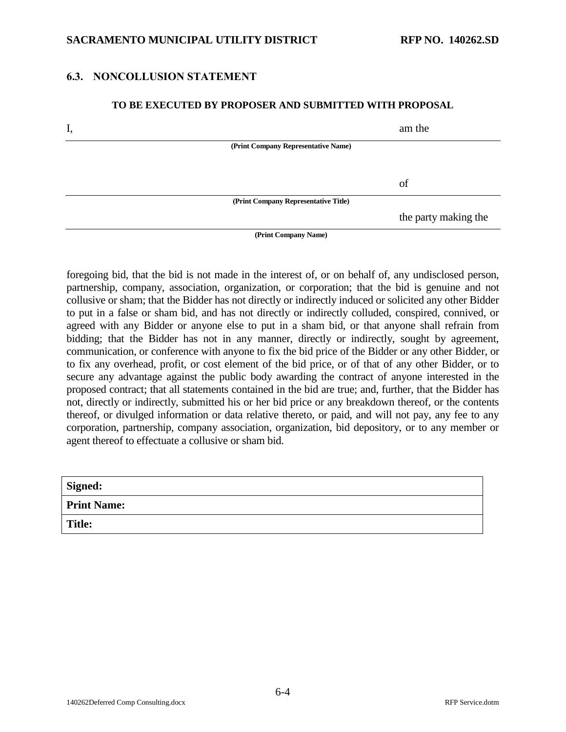### <span id="page-23-0"></span>**6.3. NONCOLLUSION STATEMENT**

#### **TO BE EXECUTED BY PROPOSER AND SUBMITTED WITH PROPOSAL**

| I, |                                      | am the               |
|----|--------------------------------------|----------------------|
|    | (Print Company Representative Name)  |                      |
|    |                                      |                      |
|    |                                      | of                   |
|    | (Print Company Representative Title) |                      |
|    |                                      | the party making the |
|    | (Print Company Name)                 |                      |

foregoing bid, that the bid is not made in the interest of, or on behalf of, any undisclosed person, partnership, company, association, organization, or corporation; that the bid is genuine and not collusive or sham; that the Bidder has not directly or indirectly induced or solicited any other Bidder to put in a false or sham bid, and has not directly or indirectly colluded, conspired, connived, or agreed with any Bidder or anyone else to put in a sham bid, or that anyone shall refrain from bidding; that the Bidder has not in any manner, directly or indirectly, sought by agreement, communication, or conference with anyone to fix the bid price of the Bidder or any other Bidder, or to fix any overhead, profit, or cost element of the bid price, or of that of any other Bidder, or to secure any advantage against the public body awarding the contract of anyone interested in the proposed contract; that all statements contained in the bid are true; and, further, that the Bidder has not, directly or indirectly, submitted his or her bid price or any breakdown thereof, or the contents thereof, or divulged information or data relative thereto, or paid, and will not pay, any fee to any corporation, partnership, company association, organization, bid depository, or to any member or agent thereof to effectuate a collusive or sham bid.

| <b>Signed:</b>     |  |
|--------------------|--|
| <b>Print Name:</b> |  |
| <b>Title:</b>      |  |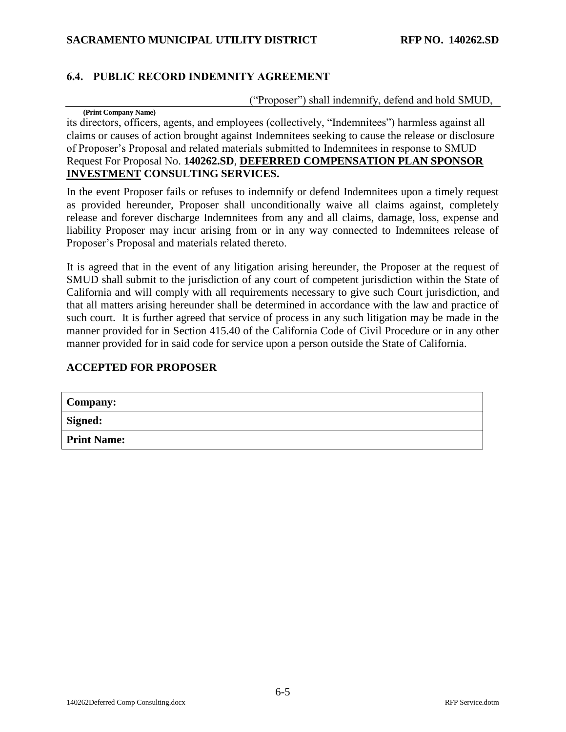## <span id="page-24-0"></span>**6.4. PUBLIC RECORD INDEMNITY AGREEMENT**

("Proposer") shall indemnify, defend and hold SMUD,

**(Print Company Name)** its directors, officers, agents, and employees (collectively, "Indemnitees") harmless against all claims or causes of action brought against Indemnitees seeking to cause the release or disclosure of Proposer's Proposal and related materials submitted to Indemnitees in response to SMUD Request For Proposal No. **[140262.SD](#page-0-0)**, **[DEFERRED COMPENSATION PLAN SPONSOR](#page-0-1)  INVESTMENT [CONSULTING SERVICES.](#page-0-1)**

In the event Proposer fails or refuses to indemnify or defend Indemnitees upon a timely request as provided hereunder, Proposer shall unconditionally waive all claims against, completely release and forever discharge Indemnitees from any and all claims, damage, loss, expense and liability Proposer may incur arising from or in any way connected to Indemnitees release of Proposer's Proposal and materials related thereto.

It is agreed that in the event of any litigation arising hereunder, the Proposer at the request of SMUD shall submit to the jurisdiction of any court of competent jurisdiction within the State of California and will comply with all requirements necessary to give such Court jurisdiction, and that all matters arising hereunder shall be determined in accordance with the law and practice of such court. It is further agreed that service of process in any such litigation may be made in the manner provided for in Section 415.40 of the California Code of Civil Procedure or in any other manner provided for in said code for service upon a person outside the State of California.

#### **ACCEPTED FOR PROPOSER**

| <b>Company:</b>    |  |
|--------------------|--|
| <b>Signed:</b>     |  |
| <b>Print Name:</b> |  |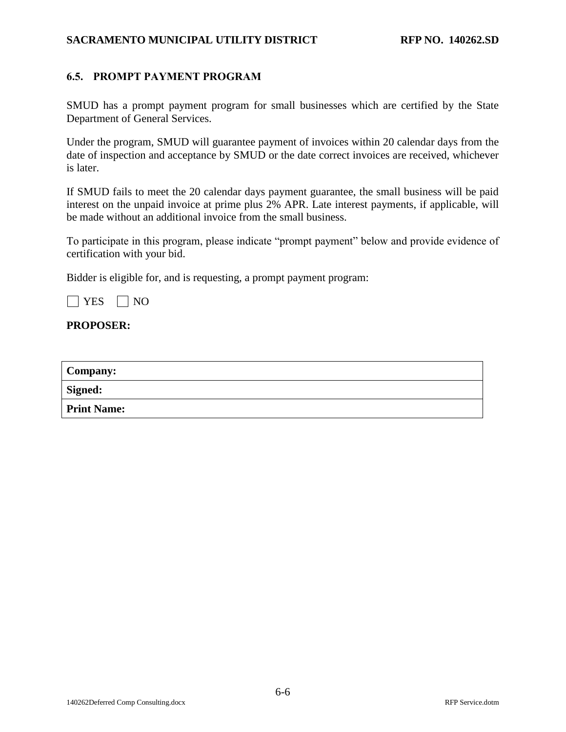### <span id="page-25-0"></span>**6.5. PROMPT PAYMENT PROGRAM**

SMUD has a prompt payment program for small businesses which are certified by the State Department of General Services.

Under the program, SMUD will guarantee payment of invoices within 20 calendar days from the date of inspection and acceptance by SMUD or the date correct invoices are received, whichever is later.

If SMUD fails to meet the 20 calendar days payment guarantee, the small business will be paid interest on the unpaid invoice at prime plus 2% APR. Late interest payments, if applicable, will be made without an additional invoice from the small business.

To participate in this program, please indicate "prompt payment" below and provide evidence of certification with your bid.

Bidder is eligible for, and is requesting, a prompt payment program:

 $\Box$  YES  $\Box$  NO

#### **PROPOSER:**

| <b>Company:</b>    |  |
|--------------------|--|
| Signed:            |  |
| <b>Print Name:</b> |  |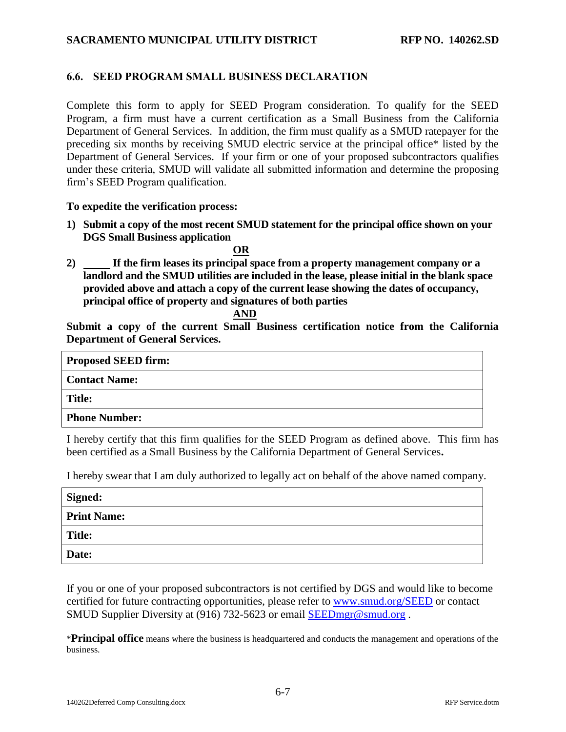### <span id="page-26-0"></span>**6.6. SEED PROGRAM SMALL BUSINESS DECLARATION**

Complete this form to apply for SEED Program consideration. To qualify for the SEED Program, a firm must have a current certification as a Small Business from the California Department of General Services. In addition, the firm must qualify as a SMUD ratepayer for the preceding six months by receiving SMUD electric service at the principal office\* listed by the Department of General Services. If your firm or one of your proposed subcontractors qualifies under these criteria, SMUD will validate all submitted information and determine the proposing firm's SEED Program qualification.

#### **To expedite the verification process:**

**1) Submit a copy of the most recent SMUD statement for the principal office shown on your DGS Small Business application**

**OR**

**2) If the firm leases its principal space from a property management company or a landlord and the SMUD utilities are included in the lease, please initial in the blank space provided above and attach a copy of the current lease showing the dates of occupancy, principal office of property and signatures of both parties**

### **AND**

**Submit a copy of the current Small Business certification notice from the California Department of General Services.**

| <b>Proposed SEED firm:</b> |  |
|----------------------------|--|
| <b>Contact Name:</b>       |  |
| Title:                     |  |
| <b>Phone Number:</b>       |  |

I hereby certify that this firm qualifies for the SEED Program as defined above. This firm has been certified as a Small Business by the California Department of General Services**.**

I hereby swear that I am duly authorized to legally act on behalf of the above named company.

| Signed:            |  |
|--------------------|--|
| <b>Print Name:</b> |  |
| <b>Title:</b>      |  |
| Date:              |  |

If you or one of your proposed subcontractors is not certified by DGS and would like to become certified for future contracting opportunities, please refer to [www.smud.org/SEED](http://www.smud.org/SEED) or contact SMUD Supplier Diversity at (916) 732-5623 or email [SEEDmgr@smud.org](mailto:SEEDmgr@smud.org) .

\***Principal office** means where the business is headquartered and conducts the management and operations of the business.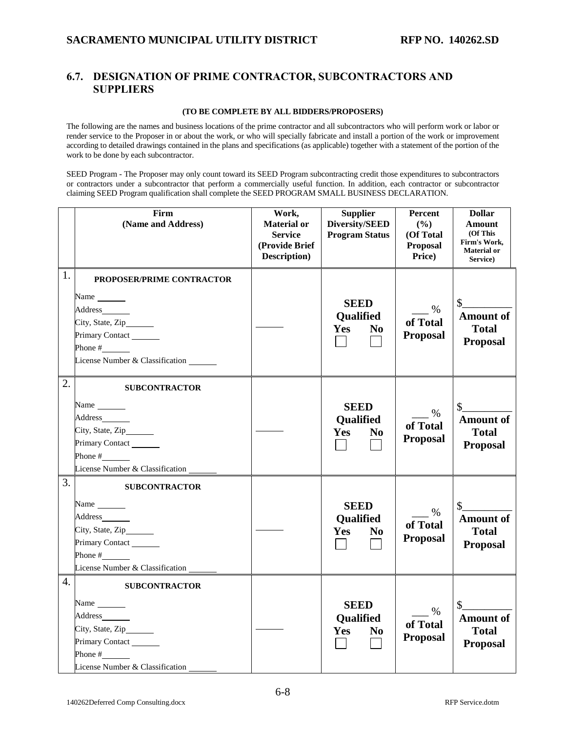### <span id="page-27-0"></span>**6.7. DESIGNATION OF PRIME CONTRACTOR, SUBCONTRACTORS AND SUPPLIERS**

#### **(TO BE COMPLETE BY ALL BIDDERS/PROPOSERS)**

The following are the names and business locations of the prime contractor and all subcontractors who will perform work or labor or render service to the Proposer in or about the work, or who will specially fabricate and install a portion of the work or improvement according to detailed drawings contained in the plans and specifications (as applicable) together with a statement of the portion of the work to be done by each subcontractor.

SEED Program - The Proposer may only count toward its SEED Program subcontracting credit those expenditures to subcontractors or contractors under a subcontractor that perform a commercially useful function. In addition, each contractor or subcontractor claiming SEED Program qualification shall complete the SEED PROGRAM SMALL BUSINESS DECLARATION.

|    | Firm<br>(Name and Address)                                                                                                                                                                                           | Work,<br><b>Material or</b><br><b>Service</b><br>(Provide Brief<br>Description) | <b>Supplier</b><br>Diversity/SEED<br><b>Program Status</b>                      | <b>Percent</b><br>(%)<br>(Of Total<br>Proposal<br>Price) | <b>Dollar</b><br>Amount<br>(Of This<br>Firm's Work,<br><b>Material</b> or<br>Service) |
|----|----------------------------------------------------------------------------------------------------------------------------------------------------------------------------------------------------------------------|---------------------------------------------------------------------------------|---------------------------------------------------------------------------------|----------------------------------------------------------|---------------------------------------------------------------------------------------|
| 1. | PROPOSER/PRIME CONTRACTOR<br>Name $\frac{1}{\sqrt{1-\frac{1}{2}}\cdot\frac{1}{\sqrt{1-\frac{1}{2}}}}$<br>Address_______<br>City, State, Zip______<br>Primary Contact<br>Phone $#$<br>License Number & Classification |                                                                                 | <b>SEED</b><br>Qualified<br><b>Yes</b><br>N <sub>0</sub>                        | $\%$<br>of Total<br>Proposal                             | \$<br><b>Amount of</b><br><b>Total</b><br><b>Proposal</b>                             |
| 2. | <b>SUBCONTRACTOR</b><br>Name<br>Address<br>City, State, Zip______<br>Primary Contact<br>Phone $\#$<br>License Number & Classification                                                                                |                                                                                 | <b>SEED</b><br>Qualified<br>Yes<br>N <sub>0</sub>                               | $\%$<br>of Total<br><b>Proposal</b>                      | \$<br><b>Amount of</b><br><b>Total</b><br><b>Proposal</b>                             |
| 3. | <b>SUBCONTRACTOR</b><br>Name<br>Address<br>City, State, Zip<br>Primary Contact<br>Phone $\#$<br>License Number & Classification                                                                                      |                                                                                 | <b>SEED</b><br><b>Qualified</b><br><b>Yes</b><br>N <sub>0</sub><br>$\mathbf{L}$ | $\frac{9}{6}$<br>of Total<br><b>Proposal</b>             | $\mathbb{S}$<br><b>Amount of</b><br><b>Total</b><br><b>Proposal</b>                   |
| 4. | <b>SUBCONTRACTOR</b><br>Name $\frac{1}{\sqrt{1-\frac{1}{2}}\cdot\frac{1}{\sqrt{1-\frac{1}{2}}}}$<br>Address <u>and</u><br>City, State, Zip______<br>Primary Contact<br>Phone $#$<br>License Number & Classification  |                                                                                 | <b>SEED</b><br><b>Qualified</b><br><b>Yes</b><br>N <sub>0</sub>                 | $\%$<br>of Total<br><b>Proposal</b>                      | $\mathbb{S}^-$<br><b>Amount of</b><br><b>Total</b><br><b>Proposal</b>                 |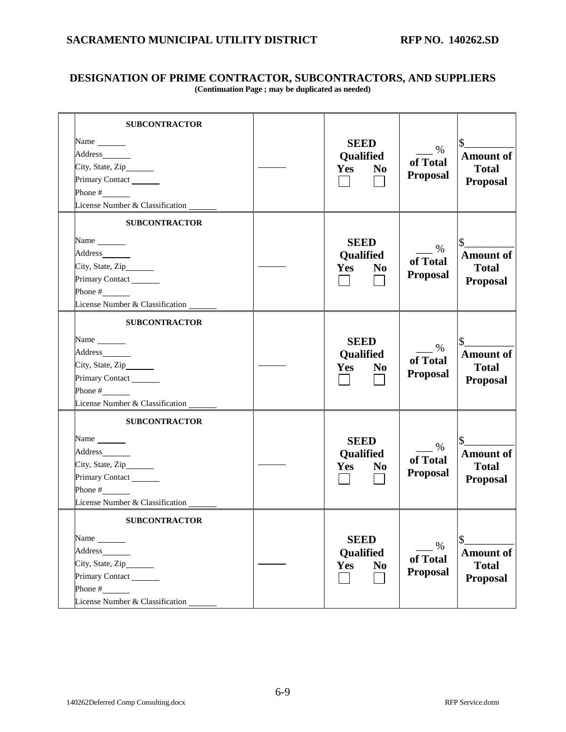### **DESIGNATION OF PRIME CONTRACTOR, SUBCONTRACTORS, AND SUPPLIERS (Continuation Page ; may be duplicated as needed)**

| <b>SUBCONTRACTOR</b>                                                                                                  |                                                   |                                     |                                                           |
|-----------------------------------------------------------------------------------------------------------------------|---------------------------------------------------|-------------------------------------|-----------------------------------------------------------|
| Name<br>Address <u>and</u><br>City, State, Zip______<br>Primary Contact<br>Phone #<br>License Number & Classification | <b>SEED</b><br>Qualified<br>Yes<br>N <sub>0</sub> | %<br>of Total<br><b>Proposal</b>    | <b>Amount of</b><br><b>Total</b><br><b>Proposal</b>       |
| <b>SUBCONTRACTOR</b>                                                                                                  |                                                   |                                     |                                                           |
| Name<br>Address<br>City, State, Zip______<br>Primary Contact<br>Phone #<br>License Number & Classification            | <b>SEED</b><br>Qualified<br>Yes<br>N <sub>0</sub> | %<br>of Total<br><b>Proposal</b>    | <b>Amount of</b><br><b>Total</b><br><b>Proposal</b>       |
| <b>SUBCONTRACTOR</b>                                                                                                  |                                                   |                                     |                                                           |
| Address_________<br>City, State, Zip______<br>Primary Contact<br>Phone $#$<br>License Number & Classification         | <b>SEED</b><br>Qualified<br>Yes<br>N <sub>0</sub> | $\%$<br>of Total<br><b>Proposal</b> | <b>Amount of</b><br><b>Total</b><br><b>Proposal</b>       |
| <b>SUBCONTRACTOR</b>                                                                                                  |                                                   |                                     |                                                           |
| Name<br>City, State, Zip______<br>Primary Contact<br>Phone #<br>License Number & Classification _                     | <b>SEED</b><br>Qualified<br>Yes<br>N <sub>0</sub> | %<br>of Total<br><b>Proposal</b>    | <b>Amount of</b><br><b>Total</b><br><b>Proposal</b>       |
| <b>SUBCONTRACTOR</b>                                                                                                  |                                                   |                                     |                                                           |
| Name<br>Address<br>City, State, Zip______<br>Primary Contact<br>Phone #<br>License Number & Classification            | <b>SEED</b><br>Qualified<br>Yes<br>N <sub>0</sub> | $\%$<br>of Total<br><b>Proposal</b> | \$<br><b>Amount of</b><br><b>Total</b><br><b>Proposal</b> |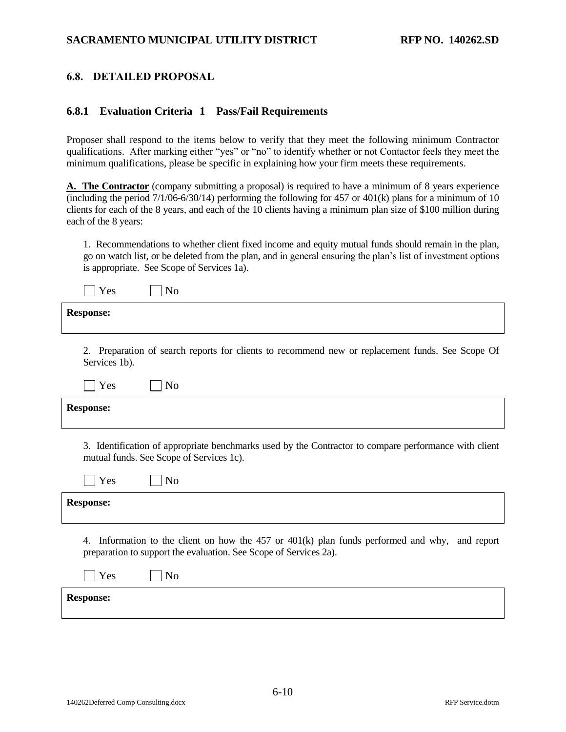### <span id="page-29-0"></span>**6.8. DETAILED PROPOSAL**

#### **6.8.1 Evaluation Criteria 1 Pass/Fail Requirements**

Proposer shall respond to the items below to verify that they meet the following minimum Contractor qualifications. After marking either "yes" or "no" to identify whether or not Contactor feels they meet the minimum qualifications, please be specific in explaining how your firm meets these requirements.

**A. The Contractor** (company submitting a proposal) is required to have a minimum of 8 years experience (including the period 7/1/06-6/30/14) performing the following for 457 or 401(k) plans for a minimum of 10 clients for each of the 8 years, and each of the 10 clients having a minimum plan size of \$100 million during each of the 8 years:

1. Recommendations to whether client fixed income and equity mutual funds should remain in the plan, go on watch list, or be deleted from the plan, and in general ensuring the plan's list of investment options is appropriate. See Scope of Services 1a).

| Yes<br>No                                                                                                                                                              |
|------------------------------------------------------------------------------------------------------------------------------------------------------------------------|
| <b>Response:</b>                                                                                                                                                       |
|                                                                                                                                                                        |
| 2. Preparation of search reports for clients to recommend new or replacement funds. See Scope Of<br>Services 1b).                                                      |
| Yes<br>N <sub>o</sub>                                                                                                                                                  |
| <b>Response:</b>                                                                                                                                                       |
|                                                                                                                                                                        |
| 3. Identification of appropriate benchmarks used by the Contractor to compare performance with client<br>mutual funds. See Scope of Services 1c).                      |
| N <sub>o</sub><br>Yes                                                                                                                                                  |
| <b>Response:</b>                                                                                                                                                       |
|                                                                                                                                                                        |
| Information to the client on how the 457 or 401(k) plan funds performed and why, and report<br>4.<br>preparation to support the evaluation. See Scope of Services 2a). |
| N <sub>o</sub><br>Yes                                                                                                                                                  |
| <b>Response:</b>                                                                                                                                                       |
|                                                                                                                                                                        |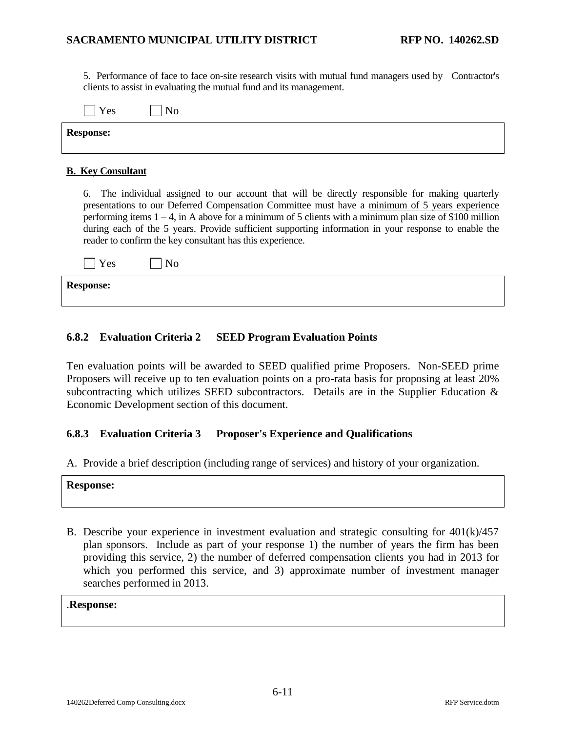5. Performance of face to face on-site research visits with mutual fund managers used by Contractor's clients to assist in evaluating the mutual fund and its management.

| Yes              | No |
|------------------|----|
| <b>Response:</b> |    |

#### **B. Key Consultant**

6. The individual assigned to our account that will be directly responsible for making quarterly presentations to our Deferred Compensation Committee must have a minimum of 5 years experience performing items  $1 - 4$ , in A above for a minimum of 5 clients with a minimum plan size of \$100 million during each of the 5 years. Provide sufficient supporting information in your response to enable the reader to confirm the key consultant has this experience.

| $\blacksquare$ Yes | No |
|--------------------|----|
| <b>Response:</b>   |    |

#### **6.8.2 Evaluation Criteria 2 SEED Program Evaluation Points**

Ten evaluation points will be awarded to SEED qualified prime Proposers. Non-SEED prime Proposers will receive up to ten evaluation points on a pro-rata basis for proposing at least 20% subcontracting which utilizes SEED subcontractors. Details are in the Supplier Education & Economic Development section of this document.

#### **6.8.3 Evaluation Criteria 3 Proposer's Experience and Qualifications**

A. Provide a brief description (including range of services) and history of your organization.

| <b>Response:</b> |
|------------------|
|------------------|

B. Describe your experience in investment evaluation and strategic consulting for 401(k)/457 plan sponsors. Include as part of your response 1) the number of years the firm has been providing this service, 2) the number of deferred compensation clients you had in 2013 for which you performed this service, and 3) approximate number of investment manager searches performed in 2013.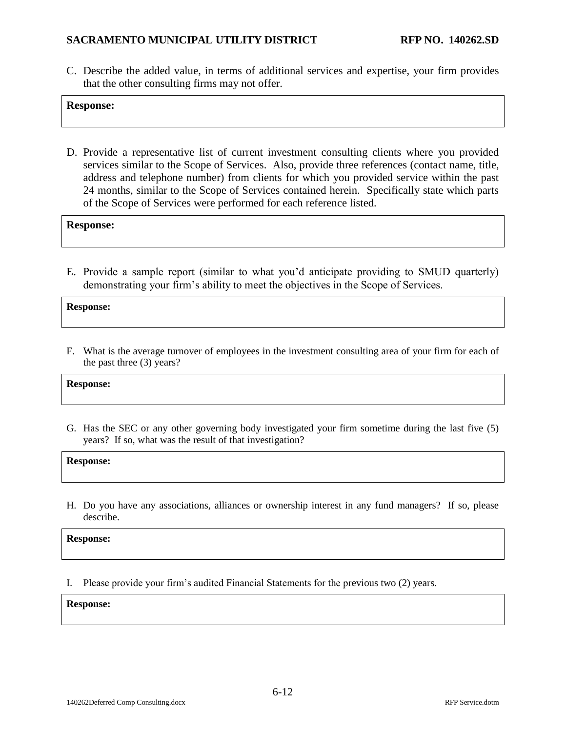C. Describe the added value, in terms of additional services and expertise, your firm provides that the other consulting firms may not offer.

#### **Response:**

D. Provide a representative list of current investment consulting clients where you provided services similar to the Scope of Services. Also, provide three references (contact name, title, address and telephone number) from clients for which you provided service within the past 24 months, similar to the Scope of Services contained herein. Specifically state which parts of the Scope of Services were performed for each reference listed.

**Response:**

E. Provide a sample report (similar to what you'd anticipate providing to SMUD quarterly) demonstrating your firm's ability to meet the objectives in the Scope of Services.

**Response:**

F. What is the average turnover of employees in the investment consulting area of your firm for each of the past three (3) years?

**Response:**

G. Has the SEC or any other governing body investigated your firm sometime during the last five (5) years? If so, what was the result of that investigation?

**Response:**

H. Do you have any associations, alliances or ownership interest in any fund managers? If so, please describe.

**Response:**

I. Please provide your firm's audited Financial Statements for the previous two (2) years.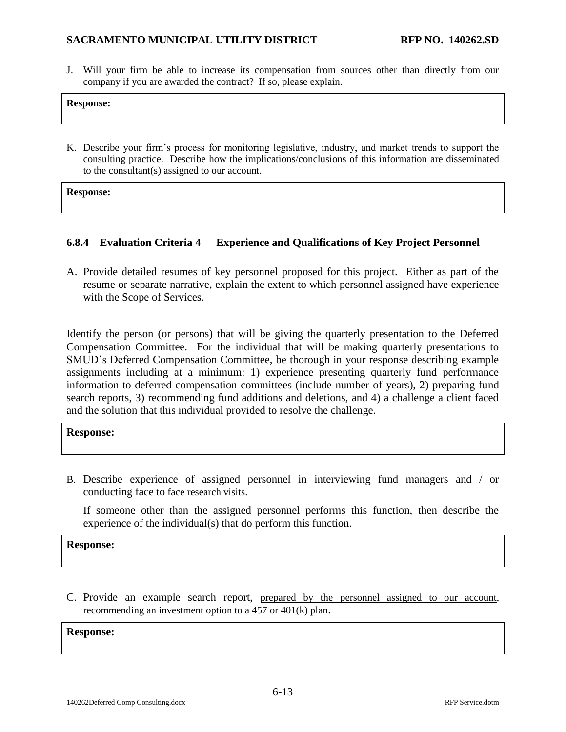J. Will your firm be able to increase its compensation from sources other than directly from our company if you are awarded the contract? If so, please explain.

#### **Response:**

K. Describe your firm's process for monitoring legislative, industry, and market trends to support the consulting practice. Describe how the implications/conclusions of this information are disseminated to the consultant(s) assigned to our account.

**Response:**

### **6.8.4 Evaluation Criteria 4 Experience and Qualifications of Key Project Personnel**

A. Provide detailed resumes of key personnel proposed for this project. Either as part of the resume or separate narrative, explain the extent to which personnel assigned have experience with the Scope of Services.

Identify the person (or persons) that will be giving the quarterly presentation to the Deferred Compensation Committee. For the individual that will be making quarterly presentations to SMUD's Deferred Compensation Committee, be thorough in your response describing example assignments including at a minimum: 1) experience presenting quarterly fund performance information to deferred compensation committees (include number of years), 2) preparing fund search reports, 3) recommending fund additions and deletions, and 4) a challenge a client faced and the solution that this individual provided to resolve the challenge.

#### **Response:**

B. Describe experience of assigned personnel in interviewing fund managers and / or conducting face to face research visits.

If someone other than the assigned personnel performs this function, then describe the experience of the individual(s) that do perform this function.

**Response:**

C. Provide an example search report, prepared by the personnel assigned to our account, recommending an investment option to a 457 or 401(k) plan.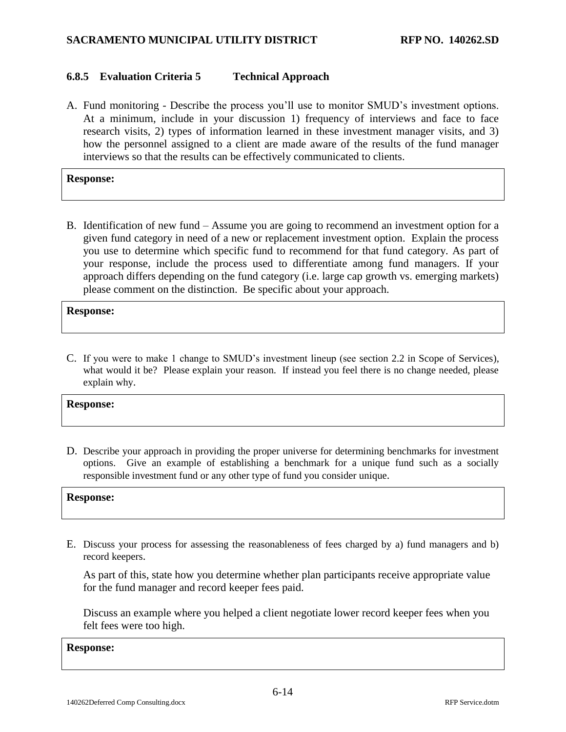### **6.8.5 Evaluation Criteria 5 Technical Approach**

A. Fund monitoring - Describe the process you'll use to monitor SMUD's investment options. At a minimum, include in your discussion 1) frequency of interviews and face to face research visits, 2) types of information learned in these investment manager visits, and 3) how the personnel assigned to a client are made aware of the results of the fund manager interviews so that the results can be effectively communicated to clients.

#### **Response:**

B. Identification of new fund – Assume you are going to recommend an investment option for a given fund category in need of a new or replacement investment option. Explain the process you use to determine which specific fund to recommend for that fund category. As part of your response, include the process used to differentiate among fund managers. If your approach differs depending on the fund category (i.e. large cap growth vs. emerging markets) please comment on the distinction. Be specific about your approach.

#### **Response:**

C. If you were to make 1 change to SMUD's investment lineup (see section 2.2 in Scope of Services), what would it be? Please explain your reason. If instead you feel there is no change needed, please explain why.

#### **Response:**

D. Describe your approach in providing the proper universe for determining benchmarks for investment options. Give an example of establishing a benchmark for a unique fund such as a socially responsible investment fund or any other type of fund you consider unique.

#### **Response:**

E. Discuss your process for assessing the reasonableness of fees charged by a) fund managers and b) record keepers.

As part of this, state how you determine whether plan participants receive appropriate value for the fund manager and record keeper fees paid.

Discuss an example where you helped a client negotiate lower record keeper fees when you felt fees were too high.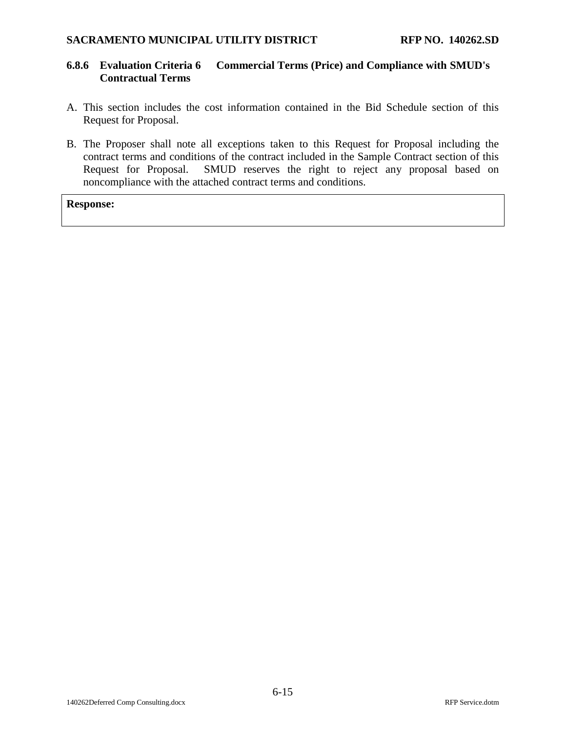#### **6.8.6 Evaluation Criteria 6 Commercial Terms (Price) and Compliance with SMUD's Contractual Terms**

- A. This section includes the cost information contained in the Bid Schedule section of this Request for Proposal.
- B. The Proposer shall note all exceptions taken to this Request for Proposal including the contract terms and conditions of the contract included in the Sample Contract section of this Request for Proposal. SMUD reserves the right to reject any proposal based on noncompliance with the attached contract terms and conditions.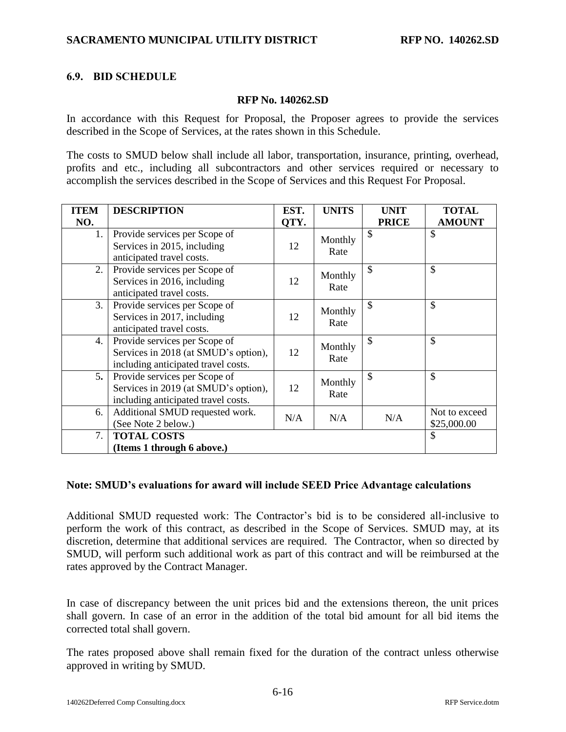### <span id="page-35-0"></span>**6.9. BID SCHEDULE**

#### **RFP No. [140262.SD](#page-0-0)**

In accordance with this Request for Proposal, the Proposer agrees to provide the services described in the Scope of Services, at the rates shown in this Schedule.

The costs to SMUD below shall include all labor, transportation, insurance, printing, overhead, profits and etc., including all subcontractors and other services required or necessary to accomplish the services described in the Scope of Services and this Request For Proposal.

| <b>ITEM</b> | <b>DESCRIPTION</b>                                                                                           | EST. | <b>UNITS</b>    | <b>UNIT</b>   | <b>TOTAL</b>                 |
|-------------|--------------------------------------------------------------------------------------------------------------|------|-----------------|---------------|------------------------------|
| NO.         |                                                                                                              | QTY. |                 | <b>PRICE</b>  | <b>AMOUNT</b>                |
| 1.          | Provide services per Scope of<br>Services in 2015, including<br>anticipated travel costs.                    | 12   | Monthly<br>Rate | $\mathcal{S}$ | $\mathcal{S}$                |
| 2.          | Provide services per Scope of<br>Services in 2016, including<br>anticipated travel costs.                    | 12   | Monthly<br>Rate | \$            | $\mathcal{S}$                |
| 3.          | Provide services per Scope of<br>Services in 2017, including<br>anticipated travel costs.                    | 12   | Monthly<br>Rate | \$            | $\mathcal{S}$                |
| 4.          | Provide services per Scope of<br>Services in 2018 (at SMUD's option),<br>including anticipated travel costs. | 12   | Monthly<br>Rate | $\mathcal{S}$ | $\mathcal{S}$                |
| 5.          | Provide services per Scope of<br>Services in 2019 (at SMUD's option),<br>including anticipated travel costs. | 12   | Monthly<br>Rate | \$            | $\mathcal{S}$                |
| 6.          | Additional SMUD requested work.<br>(See Note 2 below.)                                                       | N/A  | N/A             | N/A           | Not to exceed<br>\$25,000.00 |
| 7.          | <b>TOTAL COSTS</b><br>(Items 1 through 6 above.)                                                             |      |                 |               | $\mathcal{S}$                |

#### **Note: SMUD's evaluations for award will include SEED Price Advantage calculations**

Additional SMUD requested work: The Contractor's bid is to be considered all-inclusive to perform the work of this contract, as described in the Scope of Services. SMUD may, at its discretion, determine that additional services are required. The Contractor, when so directed by SMUD, will perform such additional work as part of this contract and will be reimbursed at the rates approved by the Contract Manager.

In case of discrepancy between the unit prices bid and the extensions thereon, the unit prices shall govern. In case of an error in the addition of the total bid amount for all bid items the corrected total shall govern.

The rates proposed above shall remain fixed for the duration of the contract unless otherwise approved in writing by SMUD.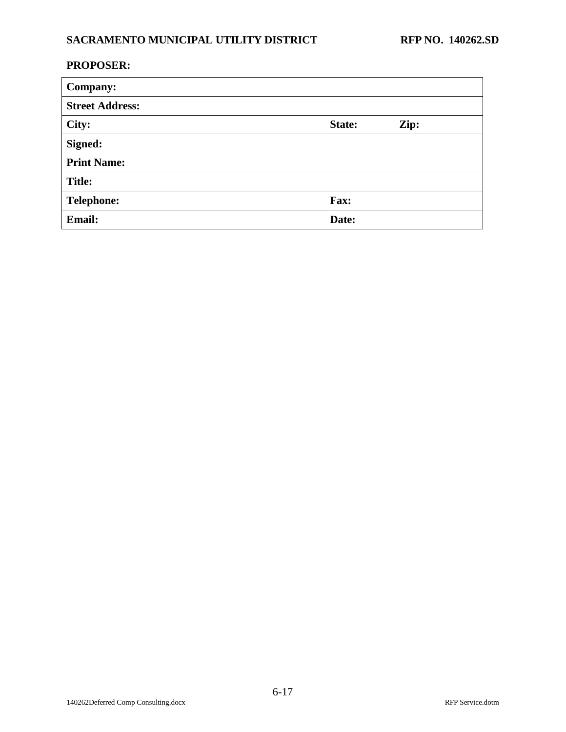## **PROPOSER:**

| <b>Company:</b>        |        |      |
|------------------------|--------|------|
| <b>Street Address:</b> |        |      |
| City:                  | State: | Zip: |
| Signed:                |        |      |
| <b>Print Name:</b>     |        |      |
| <b>Title:</b>          |        |      |
| <b>Telephone:</b>      | Fax:   |      |
| <b>Email:</b>          | Date:  |      |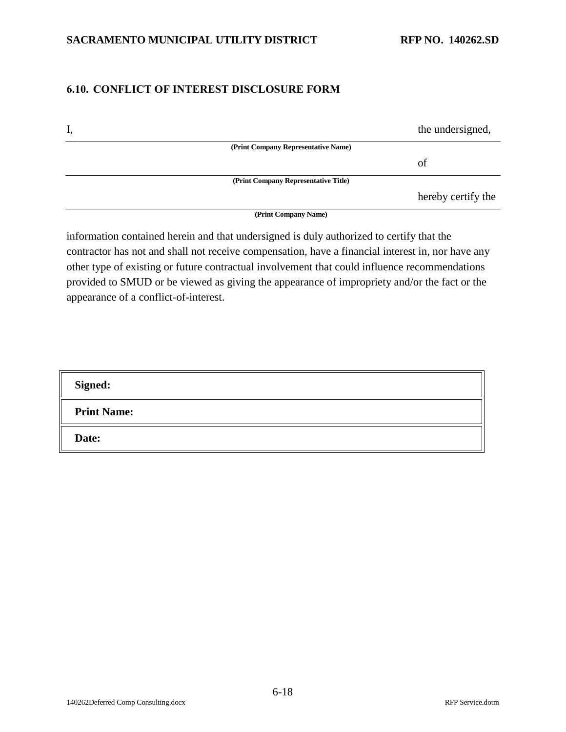## <span id="page-37-0"></span>**6.10. CONFLICT OF INTEREST DISCLOSURE FORM**

| I, |                                      | the undersigned,   |
|----|--------------------------------------|--------------------|
|    | (Print Company Representative Name)  |                    |
|    |                                      | of                 |
|    | (Print Company Representative Title) |                    |
|    |                                      | hereby certify the |
|    | (Print Company Name)                 |                    |

information contained herein and that undersigned is duly authorized to certify that the contractor has not and shall not receive compensation, have a financial interest in, nor have any other type of existing or future contractual involvement that could influence recommendations provided to SMUD or be viewed as giving the appearance of impropriety and/or the fact or the appearance of a conflict-of-interest.

| <b>Signed:</b>     |  |
|--------------------|--|
| <b>Print Name:</b> |  |
| Date:              |  |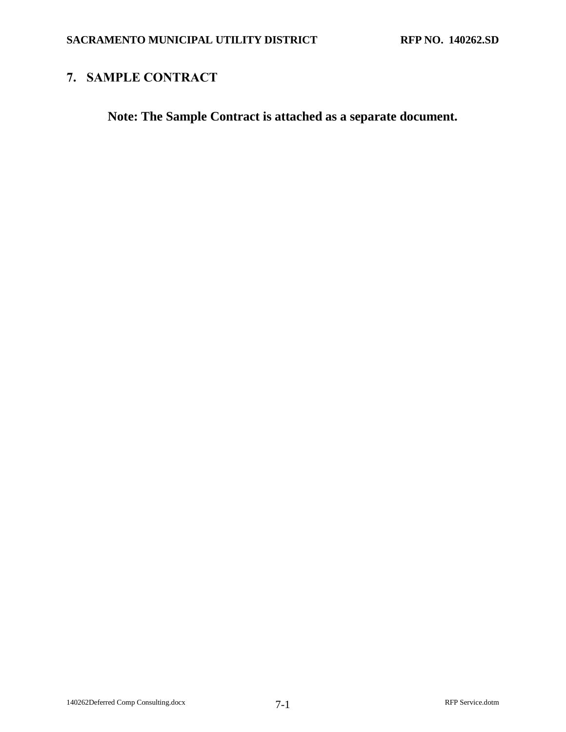# <span id="page-38-0"></span>**7. SAMPLE CONTRACT**

**Note: The Sample Contract is attached as a separate document.**